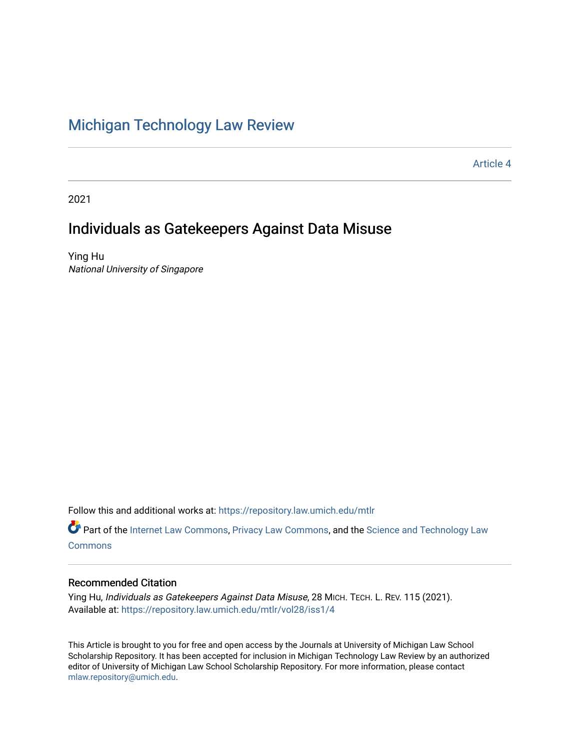# [Michigan Technology Law Review](https://repository.law.umich.edu/mtlr)

[Article 4](https://repository.law.umich.edu/mtlr/vol28/iss1/4) 

2021

# Individuals as Gatekeepers Against Data Misuse

Ying Hu National University of Singapore

Follow this and additional works at: [https://repository.law.umich.edu/mtlr](https://repository.law.umich.edu/mtlr?utm_source=repository.law.umich.edu%2Fmtlr%2Fvol28%2Fiss1%2F4&utm_medium=PDF&utm_campaign=PDFCoverPages) 

Part of the [Internet Law Commons,](http://network.bepress.com/hgg/discipline/892?utm_source=repository.law.umich.edu%2Fmtlr%2Fvol28%2Fiss1%2F4&utm_medium=PDF&utm_campaign=PDFCoverPages) [Privacy Law Commons](http://network.bepress.com/hgg/discipline/1234?utm_source=repository.law.umich.edu%2Fmtlr%2Fvol28%2Fiss1%2F4&utm_medium=PDF&utm_campaign=PDFCoverPages), and the Science and Technology Law [Commons](http://network.bepress.com/hgg/discipline/875?utm_source=repository.law.umich.edu%2Fmtlr%2Fvol28%2Fiss1%2F4&utm_medium=PDF&utm_campaign=PDFCoverPages)

# Recommended Citation

Ying Hu, Individuals as Gatekeepers Against Data Misuse, 28 MICH. TECH. L. REV. 115 (2021). Available at: [https://repository.law.umich.edu/mtlr/vol28/iss1/4](https://repository.law.umich.edu/mtlr/vol28/iss1/4?utm_source=repository.law.umich.edu%2Fmtlr%2Fvol28%2Fiss1%2F4&utm_medium=PDF&utm_campaign=PDFCoverPages) 

This Article is brought to you for free and open access by the Journals at University of Michigan Law School Scholarship Repository. It has been accepted for inclusion in Michigan Technology Law Review by an authorized editor of University of Michigan Law School Scholarship Repository. For more information, please contact [mlaw.repository@umich.edu.](mailto:mlaw.repository@umich.edu)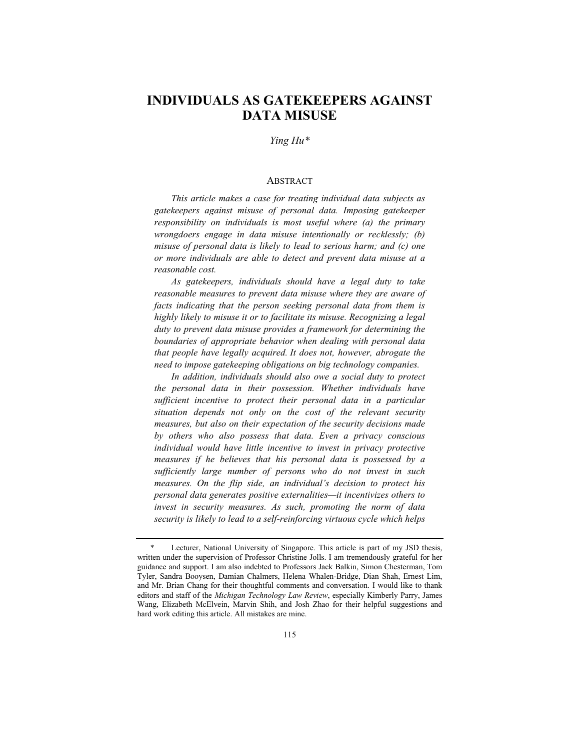# **INDIVIDUALS AS GATEKEEPERS AGAINST DATA MISUSE**

# *Ying Hu\**

#### ABSTRACT

*This article makes a case for treating individual data subjects as gatekeepers against misuse of personal data. Imposing gatekeeper responsibility on individuals is most useful where (a) the primary wrongdoers engage in data misuse intentionally or recklessly; (b) misuse of personal data is likely to lead to serious harm; and (c) one or more individuals are able to detect and prevent data misuse at a reasonable cost.*

*As gatekeepers, individuals should have a legal duty to take reasonable measures to prevent data misuse where they are aware of facts indicating that the person seeking personal data from them is highly likely to misuse it or to facilitate its misuse. Recognizing a legal duty to prevent data misuse provides a framework for determining the boundaries of appropriate behavior when dealing with personal data that people have legally acquired. It does not, however, abrogate the need to impose gatekeeping obligations on big technology companies.*

*In addition, individuals should also owe a social duty to protect the personal data in their possession. Whether individuals have sufficient incentive to protect their personal data in a particular situation depends not only on the cost of the relevant security measures, but also on their expectation of the security decisions made by others who also possess that data. Even a privacy conscious individual would have little incentive to invest in privacy protective measures if he believes that his personal data is possessed by a sufficiently large number of persons who do not invest in such measures. On the flip side, an individual's decision to protect his personal data generates positive externalities—it incentivizes others to invest in security measures. As such, promoting the norm of data security is likely to lead to a self-reinforcing virtuous cycle which helps* 

<sup>\*</sup> Lecturer, National University of Singapore. This article is part of my JSD thesis, written under the supervision of Professor Christine Jolls. I am tremendously grateful for her guidance and support. I am also indebted to Professors Jack Balkin, Simon Chesterman, Tom Tyler, Sandra Booysen, Damian Chalmers, Helena Whalen-Bridge, Dian Shah, Ernest Lim, and Mr. Brian Chang for their thoughtful comments and conversation. I would like to thank editors and staff of the *Michigan Technology Law Review*, especially Kimberly Parry, James Wang, Elizabeth McElvein, Marvin Shih, and Josh Zhao for their helpful suggestions and hard work editing this article. All mistakes are mine.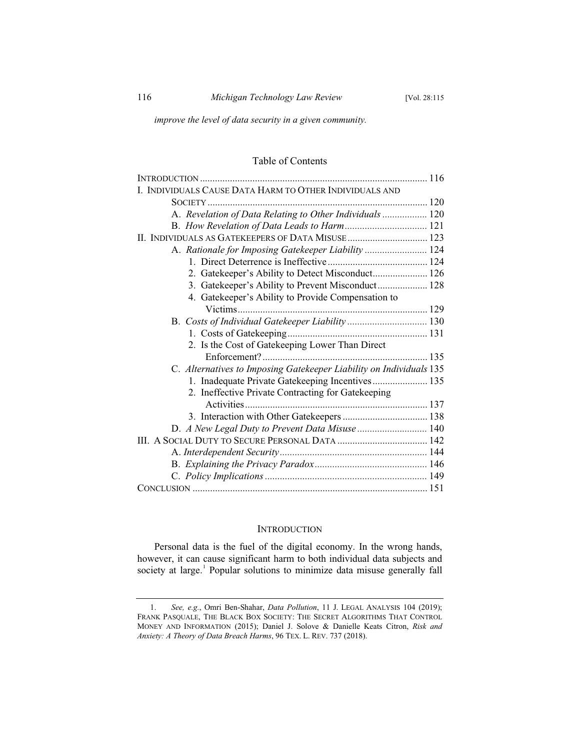*improve the level of data security in a given community.*

# Table of Contents

| I. INDIVIDUALS CAUSE DATA HARM TO OTHER INDIVIDUALS AND             |  |
|---------------------------------------------------------------------|--|
|                                                                     |  |
| A. Revelation of Data Relating to Other Individuals 120             |  |
|                                                                     |  |
|                                                                     |  |
| A. Rationale for Imposing Gatekeeper Liability  124                 |  |
|                                                                     |  |
| 2. Gatekeeper's Ability to Detect Misconduct 126                    |  |
| 3. Gatekeeper's Ability to Prevent Misconduct 128                   |  |
| 4. Gatekeeper's Ability to Provide Compensation to                  |  |
|                                                                     |  |
|                                                                     |  |
|                                                                     |  |
| 2. Is the Cost of Gatekeeping Lower Than Direct                     |  |
|                                                                     |  |
| C. Alternatives to Imposing Gatekeeper Liability on Individuals 135 |  |
| 1. Inadequate Private Gatekeeping Incentives 135                    |  |
| 2. Ineffective Private Contracting for Gatekeeping                  |  |
|                                                                     |  |
|                                                                     |  |
| D. A New Legal Duty to Prevent Data Misuse  140                     |  |
|                                                                     |  |
|                                                                     |  |
|                                                                     |  |
|                                                                     |  |
|                                                                     |  |
|                                                                     |  |

#### **INTRODUCTION**

Personal data is the fuel of the digital economy. In the wrong hands, however, it can cause significant harm to both individual data subjects and society at large.<sup>1</sup> Popular solutions to minimize data misuse generally fall

<sup>1.</sup> *See, e.g.*, Omri Ben-Shahar, *Data Pollution*, 11 J. LEGAL ANALYSIS 104 (2019); FRANK PASQUALE, THE BLACK BOX SOCIETY: THE SECRET ALGORITHMS THAT CONTROL MONEY AND INFORMATION (2015); Daniel J. Solove & Danielle Keats Citron, *Risk and Anxiety: A Theory of Data Breach Harms*, 96 TEX. L. REV. 737 (2018).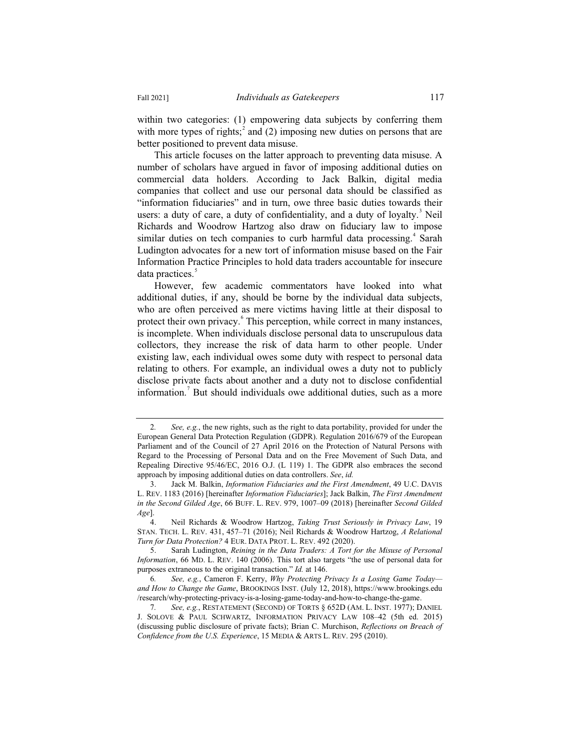within two categories: (1) empowering data subjects by conferring them with more types of rights;<sup>2</sup> and (2) imposing new duties on persons that are better positioned to prevent data misuse.

This article focuses on the latter approach to preventing data misuse. A number of scholars have argued in favor of imposing additional duties on commercial data holders. According to Jack Balkin, digital media companies that collect and use our personal data should be classified as "information fiduciaries" and in turn, owe three basic duties towards their users: a duty of care, a duty of confidentiality, and a duty of loyalty. $3$  Neil Richards and Woodrow Hartzog also draw on fiduciary law to impose similar duties on tech companies to curb harmful data processing.<sup>4</sup> Sarah Ludington advocates for a new tort of information misuse based on the Fair Information Practice Principles to hold data traders accountable for insecure data practices.<sup>5</sup>

However, few academic commentators have looked into what additional duties, if any, should be borne by the individual data subjects, who are often perceived as mere victims having little at their disposal to protect their own privacy. This perception, while correct in many instances, is incomplete. When individuals disclose personal data to unscrupulous data collectors, they increase the risk of data harm to other people. Under existing law, each individual owes some duty with respect to personal data relating to others. For example, an individual owes a duty not to publicly disclose private facts about another and a duty not to disclose confidential information.<sup>7</sup> But should individuals owe additional duties, such as a more

<sup>2</sup>*. See, e.g.*, the new rights, such as the right to data portability, provided for under the European General Data Protection Regulation (GDPR). Regulation 2016/679 of the European Parliament and of the Council of 27 April 2016 on the Protection of Natural Persons with Regard to the Processing of Personal Data and on the Free Movement of Such Data, and Repealing Directive 95/46/EC, 2016 O.J. (L 119) 1. The GDPR also embraces the second approach by imposing additional duties on data controllers. *See*, *id.*

<sup>3.</sup> Jack M. Balkin, *Information Fiduciaries and the First Amendment*, 49 U.C. DAVIS L. REV. 1183 (2016) [hereinafter *Information Fiduciaries*]; Jack Balkin, *The First Amendment in the Second Gilded Age*, 66 BUFF. L. REV. 979, 1007–09 (2018) [hereinafter *Second Gilded Age*].

<sup>4.</sup> Neil Richards & Woodrow Hartzog, *Taking Trust Seriously in Privacy Law*, 19 STAN. TECH. L. REV. 431, 457–71 (2016); Neil Richards & Woodrow Hartzog, *A Relational Turn for Data Protection?* 4 EUR. DATA PROT. L. REV. 492 (2020).

<sup>5.</sup> Sarah Ludington, *Reining in the Data Traders: A Tort for the Misuse of Personal Information*, 66 MD. L. REV. 140 (2006). This tort also targets "the use of personal data for purposes extraneous to the original transaction." *Id.* at 146.

<sup>6</sup>*. See, e.g.*, Cameron F. Kerry, *Why Protecting Privacy Is a Losing Game Today and How to Change the Game*, BROOKINGS INST. (July 12, 2018), https://www.brookings.edu /research/why-protecting-privacy-is-a-losing-game-today-and-how-to-change-the-game.

<sup>7</sup>*. See, e.g.*, RESTATEMENT (SECOND) OF TORTS § 652D (AM. L. INST. 1977); DANIEL J. SOLOVE & PAUL SCHWARTZ, INFORMATION PRIVACY LAW 108–42 (5th ed. 2015) (discussing public disclosure of private facts); Brian C. Murchison, *Reflections on Breach of Confidence from the U.S. Experience*, 15 MEDIA & ARTS L. REV. 295 (2010).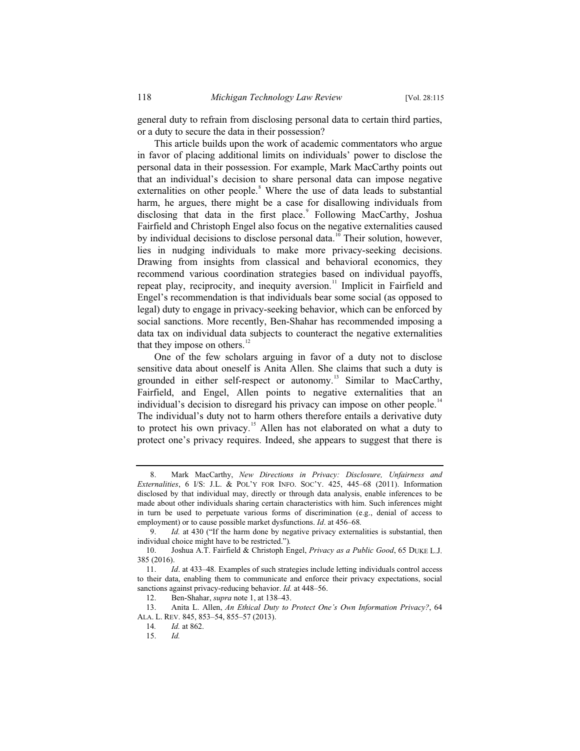general duty to refrain from disclosing personal data to certain third parties, or a duty to secure the data in their possession?

This article builds upon the work of academic commentators who argue in favor of placing additional limits on individuals' power to disclose the personal data in their possession. For example, Mark MacCarthy points out that an individual's decision to share personal data can impose negative externalities on other people.<sup>8</sup> Where the use of data leads to substantial harm, he argues, there might be a case for disallowing individuals from disclosing that data in the first place.<sup>9</sup> Following MacCarthy, Joshua Fairfield and Christoph Engel also focus on the negative externalities caused by individual decisions to disclose personal data.<sup>10</sup> Their solution, however, lies in nudging individuals to make more privacy-seeking decisions. Drawing from insights from classical and behavioral economics, they recommend various coordination strategies based on individual payoffs, repeat play, reciprocity, and inequity aversion.<sup>11</sup> Implicit in Fairfield and Engel's recommendation is that individuals bear some social (as opposed to legal) duty to engage in privacy-seeking behavior, which can be enforced by social sanctions. More recently, Ben-Shahar has recommended imposing a data tax on individual data subjects to counteract the negative externalities that they impose on others.<sup>12</sup>

One of the few scholars arguing in favor of a duty not to disclose sensitive data about oneself is Anita Allen. She claims that such a duty is grounded in either self-respect or autonomy.<sup>13</sup> Similar to MacCarthy, Fairfield, and Engel, Allen points to negative externalities that an individual's decision to disregard his privacy can impose on other people.<sup>14</sup> The individual's duty not to harm others therefore entails a derivative duty to protect his own privacy.<sup>15</sup> Allen has not elaborated on what a duty to protect one's privacy requires. Indeed, she appears to suggest that there is

<sup>8.</sup> Mark MacCarthy, *New Directions in Privacy: Disclosure, Unfairness and Externalities*, 6 I/S: J.L. & POL'Y FOR INFO. SOC'Y. 425, 445–68 (2011). Information disclosed by that individual may, directly or through data analysis, enable inferences to be made about other individuals sharing certain characteristics with him. Such inferences might in turn be used to perpetuate various forms of discrimination (e.g., denial of access to employment) or to cause possible market dysfunctions. *Id*. at 456–68*.*

<sup>9.</sup> *Id.* at 430 ("If the harm done by negative privacy externalities is substantial, then individual choice might have to be restricted.")*.*

<sup>10.</sup> Joshua A.T. Fairfield & Christoph Engel, *Privacy as a Public Good*, 65 DUKE L.J. 385 (2016).

<sup>11.</sup> *Id*. at 433–48*.* Examples of such strategies include letting individuals control access to their data, enabling them to communicate and enforce their privacy expectations, social sanctions against privacy-reducing behavior. *Id.* at 448–56.

<sup>12.</sup> Ben-Shahar, *supra* note 1, at 138–43.

<sup>13.</sup> Anita L. Allen, *An Ethical Duty to Protect One's Own Information Privacy?*, 64 ALA. L. REV. 845, 853–54, 855–57 (2013).

<sup>14</sup>*. Id.* at 862.

<sup>15.</sup> *Id.*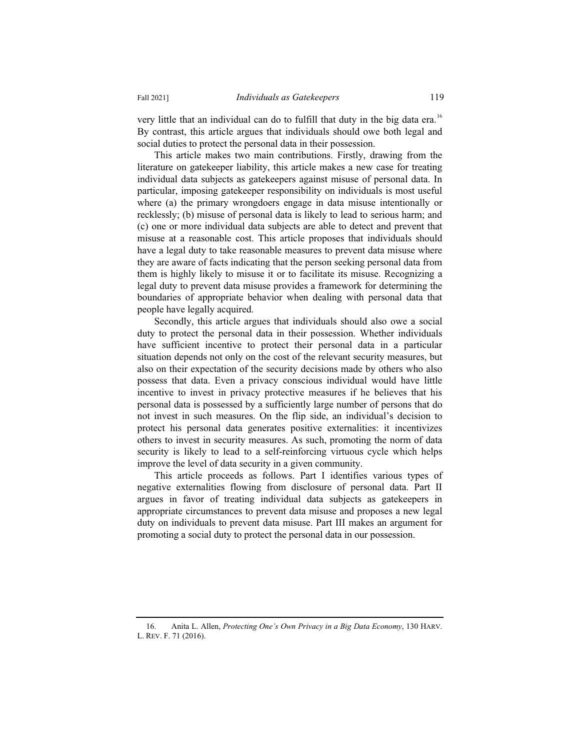very little that an individual can do to fulfill that duty in the big data era.<sup>16</sup> By contrast, this article argues that individuals should owe both legal and social duties to protect the personal data in their possession.

This article makes two main contributions. Firstly, drawing from the literature on gatekeeper liability, this article makes a new case for treating individual data subjects as gatekeepers against misuse of personal data. In particular, imposing gatekeeper responsibility on individuals is most useful where (a) the primary wrongdoers engage in data misuse intentionally or recklessly; (b) misuse of personal data is likely to lead to serious harm; and (c) one or more individual data subjects are able to detect and prevent that misuse at a reasonable cost. This article proposes that individuals should have a legal duty to take reasonable measures to prevent data misuse where they are aware of facts indicating that the person seeking personal data from them is highly likely to misuse it or to facilitate its misuse. Recognizing a legal duty to prevent data misuse provides a framework for determining the boundaries of appropriate behavior when dealing with personal data that people have legally acquired.

Secondly, this article argues that individuals should also owe a social duty to protect the personal data in their possession. Whether individuals have sufficient incentive to protect their personal data in a particular situation depends not only on the cost of the relevant security measures, but also on their expectation of the security decisions made by others who also possess that data. Even a privacy conscious individual would have little incentive to invest in privacy protective measures if he believes that his personal data is possessed by a sufficiently large number of persons that do not invest in such measures. On the flip side, an individual's decision to protect his personal data generates positive externalities: it incentivizes others to invest in security measures. As such, promoting the norm of data security is likely to lead to a self-reinforcing virtuous cycle which helps improve the level of data security in a given community.

This article proceeds as follows. Part I identifies various types of negative externalities flowing from disclosure of personal data. Part II argues in favor of treating individual data subjects as gatekeepers in appropriate circumstances to prevent data misuse and proposes a new legal duty on individuals to prevent data misuse. Part III makes an argument for promoting a social duty to protect the personal data in our possession.

<sup>16.</sup> Anita L. Allen, *Protecting One's Own Privacy in a Big Data Economy*, 130 HARV. L. REV. F. 71 (2016).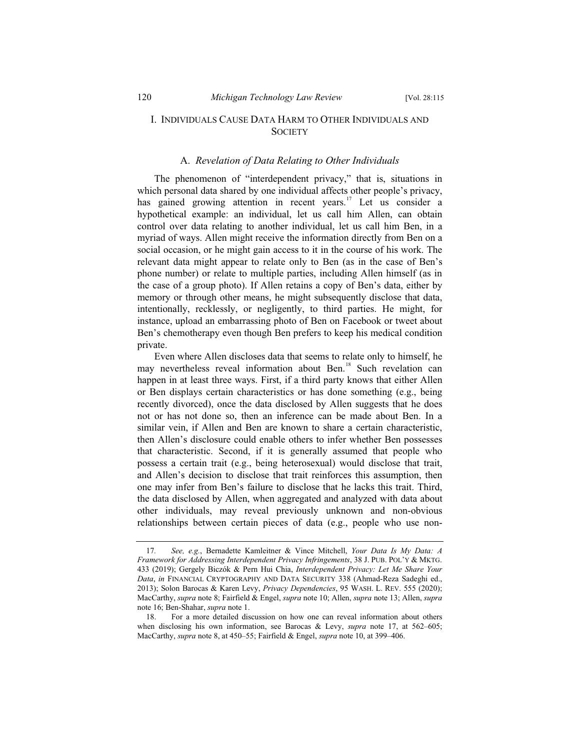# I. INDIVIDUALS CAUSE DATA HARM TO OTHER INDIVIDUALS AND **SOCIETY**

# A. *Revelation of Data Relating to Other Individuals*

The phenomenon of "interdependent privacy," that is, situations in which personal data shared by one individual affects other people's privacy, has gained growing attention in recent years.<sup>17</sup> Let us consider a hypothetical example: an individual, let us call him Allen, can obtain control over data relating to another individual, let us call him Ben, in a myriad of ways. Allen might receive the information directly from Ben on a social occasion, or he might gain access to it in the course of his work. The relevant data might appear to relate only to Ben (as in the case of Ben's phone number) or relate to multiple parties, including Allen himself (as in the case of a group photo). If Allen retains a copy of Ben's data, either by memory or through other means, he might subsequently disclose that data, intentionally, recklessly, or negligently, to third parties. He might, for instance, upload an embarrassing photo of Ben on Facebook or tweet about Ben's chemotherapy even though Ben prefers to keep his medical condition private.

Even where Allen discloses data that seems to relate only to himself, he may nevertheless reveal information about Ben.<sup>18</sup> Such revelation can happen in at least three ways. First, if a third party knows that either Allen or Ben displays certain characteristics or has done something (e.g., being recently divorced), once the data disclosed by Allen suggests that he does not or has not done so, then an inference can be made about Ben. In a similar vein, if Allen and Ben are known to share a certain characteristic, then Allen's disclosure could enable others to infer whether Ben possesses that characteristic. Second, if it is generally assumed that people who possess a certain trait (e.g., being heterosexual) would disclose that trait, and Allen's decision to disclose that trait reinforces this assumption, then one may infer from Ben's failure to disclose that he lacks this trait. Third, the data disclosed by Allen, when aggregated and analyzed with data about other individuals, may reveal previously unknown and non-obvious relationships between certain pieces of data (e.g., people who use non-

<sup>17</sup>*. See, e.g.*, Bernadette Kamleitner & Vince Mitchell, *Your Data Is My Data: A Framework for Addressing Interdependent Privacy Infringements*, 38 J. PUB. POL'Y & MKTG. 433 (2019); Gergely Biczók & Pern Hui Chia, *Interdependent Privacy: Let Me Share Your Data*, *in* FINANCIAL CRYPTOGRAPHY AND DATA SECURITY 338 (Ahmad-Reza Sadeghi ed., 2013); Solon Barocas & Karen Levy, *Privacy Dependencies*, 95 WASH. L. REV. 555 (2020); MacCarthy, *supra* note 8; Fairfield & Engel, *supra* note 10; Allen, *supra* note 13; Allen, *supra* note 16; Ben-Shahar, *supra* note 1.

<sup>18.</sup> For a more detailed discussion on how one can reveal information about others when disclosing his own information, see Barocas & Levy, *supra* note 17, at 562–605; MacCarthy, *supra* note 8, at 450–55; Fairfield & Engel, *supra* note 10, at 399–406.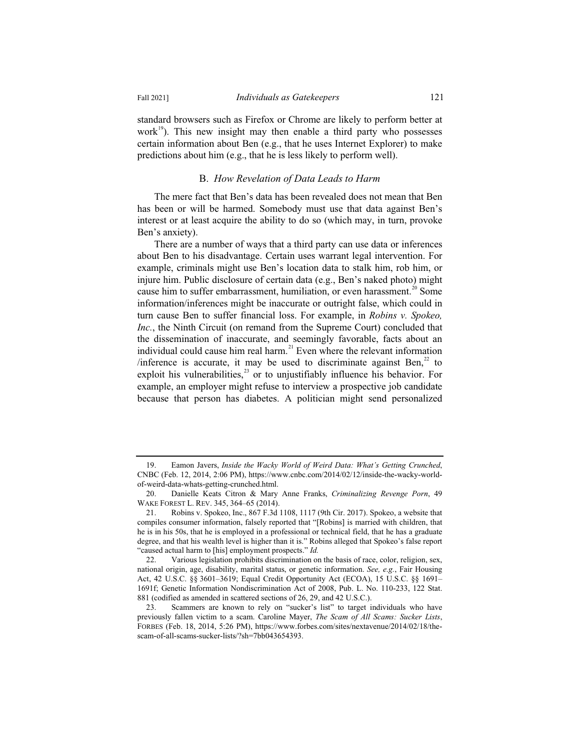standard browsers such as Firefox or Chrome are likely to perform better at work $19$ ). This new insight may then enable a third party who possesses certain information about Ben (e.g., that he uses Internet Explorer) to make predictions about him (e.g., that he is less likely to perform well).

#### B. *How Revelation of Data Leads to Harm*

The mere fact that Ben's data has been revealed does not mean that Ben has been or will be harmed. Somebody must use that data against Ben's interest or at least acquire the ability to do so (which may, in turn, provoke Ben's anxiety).

There are a number of ways that a third party can use data or inferences about Ben to his disadvantage. Certain uses warrant legal intervention. For example, criminals might use Ben's location data to stalk him, rob him, or injure him. Public disclosure of certain data (e.g., Ben's naked photo) might cause him to suffer embarrassment, humiliation, or even harassment.<sup>20</sup> Some information/inferences might be inaccurate or outright false, which could in turn cause Ben to suffer financial loss. For example, in *Robins v. Spokeo, Inc.*, the Ninth Circuit (on remand from the Supreme Court) concluded that the dissemination of inaccurate, and seemingly favorable, facts about an individual could cause him real harm.<sup>21</sup> Even where the relevant information /inference is accurate, it may be used to discriminate against Ben, $^{22}$  to exploit his vulnerabilities, $^{23}$  or to unjustifiably influence his behavior. For example, an employer might refuse to interview a prospective job candidate because that person has diabetes. A politician might send personalized

<sup>19.</sup> Eamon Javers, *Inside the Wacky World of Weird Data: What's Getting Crunched*, CNBC (Feb. 12, 2014, 2:06 PM), https://www.cnbc.com/2014/02/12/inside-the-wacky-worldof-weird-data-whats-getting-crunched.html.

<sup>20.</sup> Danielle Keats Citron & Mary Anne Franks, *Criminalizing Revenge Porn*, 49 WAKE FOREST L. REV. 345, 364–65 (2014).

<sup>21.</sup> Robins v. Spokeo, Inc., 867 F.3d 1108, 1117 (9th Cir. 2017). Spokeo, a website that compiles consumer information, falsely reported that "[Robins] is married with children, that he is in his 50s, that he is employed in a professional or technical field, that he has a graduate degree, and that his wealth level is higher than it is." Robins alleged that Spokeo's false report "caused actual harm to [his] employment prospects." *Id.*

<sup>22.</sup> Various legislation prohibits discrimination on the basis of race, color, religion, sex, national origin, age, disability, marital status, or genetic information. *See, e.g.*, Fair Housing Act, 42 U.S.C. §§ 3601–3619; Equal Credit Opportunity Act (ECOA), 15 U.S.C. §§ 1691– 1691f; Genetic Information Nondiscrimination Act of 2008, Pub. L. No. 110-233, 122 Stat. 881 (codified as amended in scattered sections of 26, 29, and 42 U.S.C.).

<sup>23.</sup> Scammers are known to rely on "sucker's list" to target individuals who have previously fallen victim to a scam. Caroline Mayer, *The Scam of All Scams: Sucker Lists*, FORBES (Feb. 18, 2014, 5:26 PM), https://www.forbes.com/sites/nextavenue/2014/02/18/thescam-of-all-scams-sucker-lists/?sh=7bb043654393.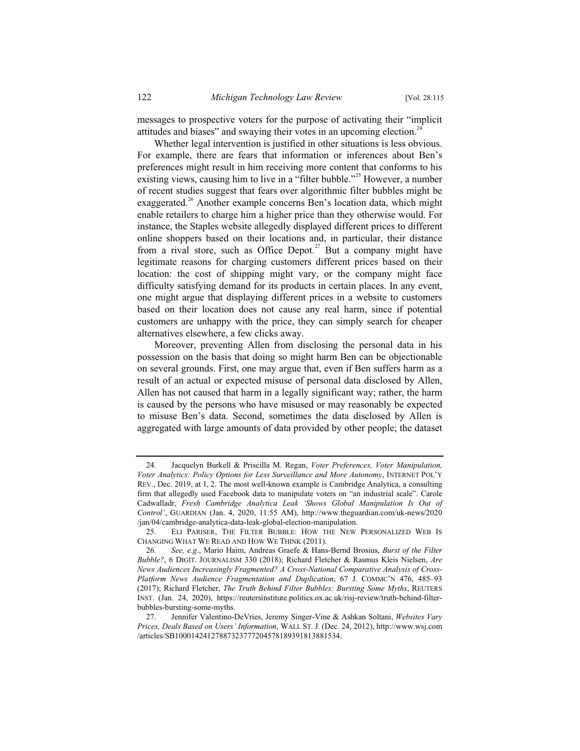messages to prospective voters for the purpose of activating their "implicit attitudes and biases" and swaying their votes in an upcoming election.<sup>2</sup>

Whether legal intervention is justified in other situations is less obvious. For example, there are fears that information or inferences about Ben's preferences might result in him receiving more content that conforms to his existing views, causing him to live in a "filter bubble."<sup>25</sup> However, a number of recent studies suggest that fears over algorithmic filter bubbles might be exaggerated.<sup>26</sup> Another example concerns Ben's location data, which might enable retailers to charge him a higher price than they otherwise would. For instance, the Staples website allegedly displayed different prices to different online shoppers based on their locations and, in particular, their distance from a rival store, such as Office Depot.<sup>27</sup> But a company might have legitimate reasons for charging customers different prices based on their location: the cost of shipping might vary, or the company might face difficulty satisfying demand for its products in certain places. In any event, one might argue that displaying different prices in a website to customers based on their location does not cause any real harm, since if potential customers are unhappy with the price, they can simply search for cheaper alternatives elsewhere, a few clicks away.

Moreover, preventing Allen from disclosing the personal data in his possession on the basis that doing so might harm Ben can be objectionable on several grounds. First, one may argue that, even if Ben suffers harm as a result of an actual or expected misuse of personal data disclosed by Allen, Allen has not caused that harm in a legally significant way; rather, the harm is caused by the persons who have misused or may reasonably be expected to misuse Ben's data. Second, sometimes the data disclosed by Allen is aggregated with large amounts of data provided by other people; the dataset

<sup>24.</sup> Jacquelyn Burkell & Priscilla M. Regan, *Voter Preferences, Voter Manipulation, Voter Analytics: Policy Options for Less Surveillance and More Autonomy*, INTERNET POL'Y REV., Dec. 2019, at 1, 2. The most well-known example is Cambridge Analytica, a consulting firm that allegedly used Facebook data to manipulate voters on "an industrial scale". Carole Cadwalladr, *Fresh Cambridge Analytica Leak 'Shows Global Manipulation Is Out of Control'*, GUARDIAN (Jan. 4, 2020, 11:55 AM), http://www.theguardian.com/uk-news/2020 /jan/04/cambridge-analytica-data-leak-global-election-manipulation.

<sup>25.</sup> ELI PARISER, THE FILTER BUBBLE: HOW THE NEW PERSONALIZED WEB IS CHANGING WHAT WE READ AND HOW WE THINK (2011).

<sup>26</sup>*. See, e.g.*, Mario Haim, Andreas Graefe & Hans-Bernd Brosius, *Burst of the Filter Bubble?*, 6 DIGIT. JOURNALISM 330 (2018); Richard Fletcher & Rasmus Kleis Nielsen, *Are News Audiences Increasingly Fragmented? A Cross-National Comparative Analysis of Cross-Platform News Audience Fragmentation and Duplication*, 67 J. COMMC'N 476, 485–93 (2017); Richard Fletcher, *The Truth Behind Filter Bubbles: Bursting Some Myths*, REUTERS INST. (Jan. 24, 2020), https://reutersinstitute.politics.ox.ac.uk/risj-review/truth-behind-filterbubbles-bursting-some-myths.

<sup>27.</sup> Jennifer Valentino-DeVries, Jeremy Singer-Vine & Ashkan Soltani, *Websites Vary Prices, Deals Based on Users' Information*, WALL ST. J. (Dec. 24, 2012), http://www.wsj.com /articles/SB10001424127887323777204578189391813881534.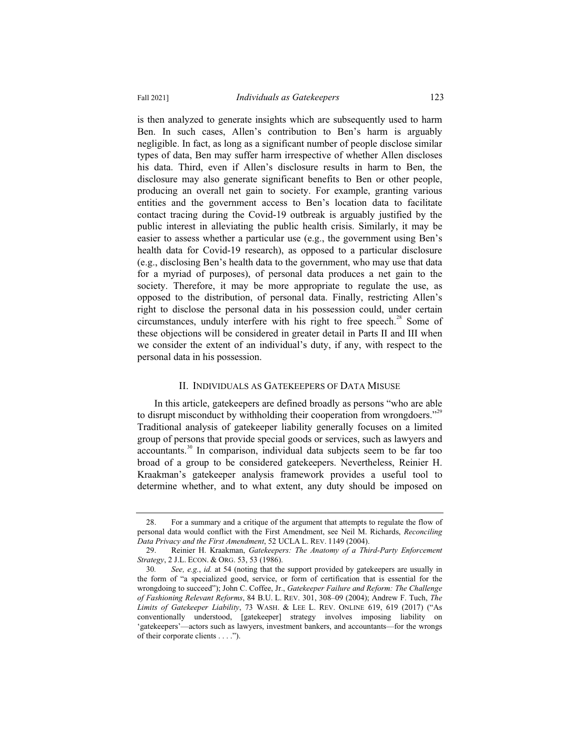is then analyzed to generate insights which are subsequently used to harm Ben. In such cases, Allen's contribution to Ben's harm is arguably negligible. In fact, as long as a significant number of people disclose similar types of data, Ben may suffer harm irrespective of whether Allen discloses his data. Third, even if Allen's disclosure results in harm to Ben, the disclosure may also generate significant benefits to Ben or other people, producing an overall net gain to society. For example, granting various entities and the government access to Ben's location data to facilitate contact tracing during the Covid-19 outbreak is arguably justified by the public interest in alleviating the public health crisis. Similarly, it may be easier to assess whether a particular use (e.g., the government using Ben's health data for Covid-19 research), as opposed to a particular disclosure (e.g., disclosing Ben's health data to the government, who may use that data for a myriad of purposes), of personal data produces a net gain to the society. Therefore, it may be more appropriate to regulate the use, as opposed to the distribution, of personal data. Finally, restricting Allen's right to disclose the personal data in his possession could, under certain circumstances, unduly interfere with his right to free speech.<sup>28</sup> Some of these objections will be considered in greater detail in Parts II and III when we consider the extent of an individual's duty, if any, with respect to the personal data in his possession.

#### II. INDIVIDUALS AS GATEKEEPERS OF DATA MISUSE

In this article, gatekeepers are defined broadly as persons "who are able to disrupt misconduct by withholding their cooperation from wrongdoers."<sup>29</sup> Traditional analysis of gatekeeper liability generally focuses on a limited group of persons that provide special goods or services, such as lawyers and accountants.<sup>30</sup> In comparison, individual data subjects seem to be far too broad of a group to be considered gatekeepers. Nevertheless, Reinier H. Kraakman's gatekeeper analysis framework provides a useful tool to determine whether, and to what extent, any duty should be imposed on

<sup>28.</sup> For a summary and a critique of the argument that attempts to regulate the flow of personal data would conflict with the First Amendment, see Neil M. Richards, *Reconciling Data Privacy and the First Amendment*, 52 UCLA L. REV. 1149 (2004).

<sup>29.</sup> Reinier H. Kraakman, *Gatekeepers: The Anatomy of a Third-Party Enforcement Strategy*, 2 J.L. ECON. & ORG. 53, 53 (1986).

<sup>30</sup>*. See, e.g.*, *id.* at 54 (noting that the support provided by gatekeepers are usually in the form of "a specialized good, service, or form of certification that is essential for the wrongdoing to succeed"); John C. Coffee, Jr., *Gatekeeper Failure and Reform: The Challenge of Fashioning Relevant Reforms*, 84 B.U. L. REV. 301, 308–09 (2004); Andrew F. Tuch, *The Limits of Gatekeeper Liability*, 73 WASH.&LEE L. REV. ONLINE 619, 619 (2017) ("As conventionally understood, [gatekeeper] strategy involves imposing liability on 'gatekeepers'—actors such as lawyers, investment bankers, and accountants—for the wrongs of their corporate clients . . . .").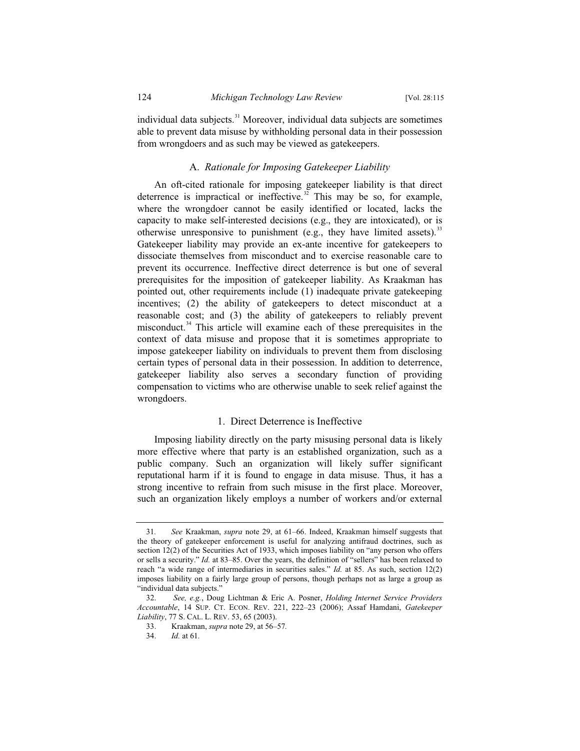individual data subjects.<sup>31</sup> Moreover, individual data subjects are sometimes able to prevent data misuse by withholding personal data in their possession from wrongdoers and as such may be viewed as gatekeepers.

# A. *Rationale for Imposing Gatekeeper Liability*

An oft-cited rationale for imposing gatekeeper liability is that direct deterrence is impractical or ineffective.<sup>32</sup> This may be so, for example, where the wrongdoer cannot be easily identified or located, lacks the capacity to make self-interested decisions (e.g., they are intoxicated), or is otherwise unresponsive to punishment (e.g., they have limited assets).<sup>33</sup> Gatekeeper liability may provide an ex-ante incentive for gatekeepers to dissociate themselves from misconduct and to exercise reasonable care to prevent its occurrence. Ineffective direct deterrence is but one of several prerequisites for the imposition of gatekeeper liability. As Kraakman has pointed out, other requirements include (1) inadequate private gatekeeping incentives; (2) the ability of gatekeepers to detect misconduct at a reasonable cost; and (3) the ability of gatekeepers to reliably prevent misconduct.<sup>34</sup> This article will examine each of these prerequisites in the context of data misuse and propose that it is sometimes appropriate to impose gatekeeper liability on individuals to prevent them from disclosing certain types of personal data in their possession. In addition to deterrence, gatekeeper liability also serves a secondary function of providing compensation to victims who are otherwise unable to seek relief against the wrongdoers.

## 1. Direct Deterrence is Ineffective

Imposing liability directly on the party misusing personal data is likely more effective where that party is an established organization, such as a public company. Such an organization will likely suffer significant reputational harm if it is found to engage in data misuse. Thus, it has a strong incentive to refrain from such misuse in the first place. Moreover, such an organization likely employs a number of workers and/or external

<sup>31</sup>*. See* Kraakman, *supra* note 29, at 61–66. Indeed, Kraakman himself suggests that the theory of gatekeeper enforcement is useful for analyzing antifraud doctrines, such as section 12(2) of the Securities Act of 1933, which imposes liability on "any person who offers or sells a security." *Id.* at 83–85. Over the years, the definition of "sellers" has been relaxed to reach "a wide range of intermediaries in securities sales." *Id.* at 85. As such, section 12(2) imposes liability on a fairly large group of persons, though perhaps not as large a group as "individual data subjects."

<sup>32.</sup> *See, e.g.*, Doug Lichtman & Eric A. Posner, *Holding Internet Service Providers Accountable*, 14 SUP. CT. ECON. REV. 221, 222–23 (2006); Assaf Hamdani, *Gatekeeper Liability*, 77 S. CAL. L. REV. 53, 65 (2003).

<sup>33.</sup> Kraakman, *supra* note 29, at 56–57*.*

<sup>34.</sup> *Id.* at 61*.*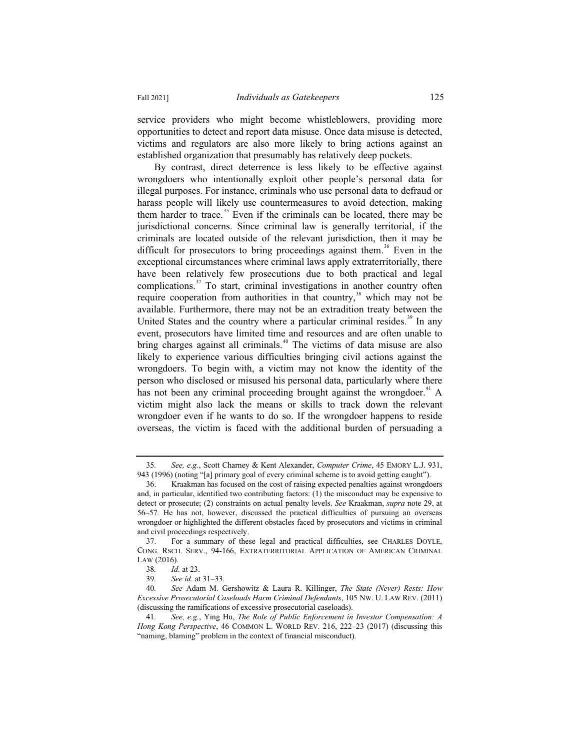service providers who might become whistleblowers, providing more opportunities to detect and report data misuse. Once data misuse is detected, victims and regulators are also more likely to bring actions against an established organization that presumably has relatively deep pockets.

By contrast, direct deterrence is less likely to be effective against wrongdoers who intentionally exploit other people's personal data for illegal purposes. For instance, criminals who use personal data to defraud or harass people will likely use countermeasures to avoid detection, making them harder to trace.<sup>35</sup> Even if the criminals can be located, there may be jurisdictional concerns. Since criminal law is generally territorial, if the criminals are located outside of the relevant jurisdiction, then it may be difficult for prosecutors to bring proceedings against them.<sup>36</sup> Even in the exceptional circumstances where criminal laws apply extraterritorially, there have been relatively few prosecutions due to both practical and legal complications. $37$  To start, criminal investigations in another country often require cooperation from authorities in that country, $38$  which may not be available. Furthermore, there may not be an extradition treaty between the United States and the country where a particular criminal resides.<sup>39</sup> In any event, prosecutors have limited time and resources and are often unable to bring charges against all criminals.<sup>40</sup> The victims of data misuse are also likely to experience various difficulties bringing civil actions against the wrongdoers. To begin with, a victim may not know the identity of the person who disclosed or misused his personal data, particularly where there has not been any criminal proceeding brought against the wrongdoer.<sup>41</sup> A victim might also lack the means or skills to track down the relevant wrongdoer even if he wants to do so. If the wrongdoer happens to reside overseas, the victim is faced with the additional burden of persuading a

<sup>35</sup>*. See, e.g.*, Scott Charney & Kent Alexander, *Computer Crime*, 45 EMORY L.J. 931, 943 (1996) (noting "[a] primary goal of every criminal scheme is to avoid getting caught").

<sup>36.</sup> Kraakman has focused on the cost of raising expected penalties against wrongdoers and, in particular, identified two contributing factors: (1) the misconduct may be expensive to detect or prosecute; (2) constraints on actual penalty levels. *See* Kraakman, *supra* note 29, at 56–57*.* He has not, however, discussed the practical difficulties of pursuing an overseas wrongdoer or highlighted the different obstacles faced by prosecutors and victims in criminal and civil proceedings respectively.

<sup>37.</sup> For a summary of these legal and practical difficulties, see CHARLES DOYLE, CONG. RSCH. SERV., 94-166, EXTRATERRITORIAL APPLICATION OF AMERICAN CRIMINAL LAW (2016).

<sup>38</sup>*. Id.* at 23.

<sup>39</sup>*. See id.* at 31–33.

<sup>40</sup>*. See* Adam M. Gershowitz & Laura R. Killinger, *The State (Never) Rests: How Excessive Prosecutorial Caseloads Harm Criminal Defendants*, 105 NW. U. LAW REV. (2011) (discussing the ramifications of excessive prosecutorial caseloads).

<sup>41</sup>*. See, e.g.*, Ying Hu, *The Role of Public Enforcement in Investor Compensation: A Hong Kong Perspective*, 46 COMMON L. WORLD REV. 216, 222–23 (2017) (discussing this "naming, blaming" problem in the context of financial misconduct).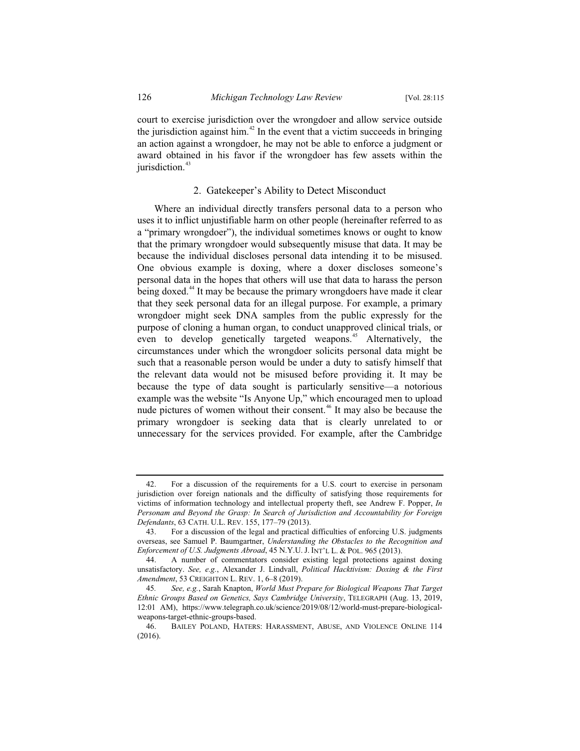court to exercise jurisdiction over the wrongdoer and allow service outside the jurisdiction against him.<sup>42</sup> In the event that a victim succeeds in bringing an action against a wrongdoer, he may not be able to enforce a judgment or award obtained in his favor if the wrongdoer has few assets within the jurisdiction.<sup>43</sup>

# 2. Gatekeeper's Ability to Detect Misconduct

Where an individual directly transfers personal data to a person who uses it to inflict unjustifiable harm on other people (hereinafter referred to as a "primary wrongdoer"), the individual sometimes knows or ought to know that the primary wrongdoer would subsequently misuse that data. It may be because the individual discloses personal data intending it to be misused. One obvious example is doxing, where a doxer discloses someone's personal data in the hopes that others will use that data to harass the person being doxed.<sup>44</sup> It may be because the primary wrongdoers have made it clear that they seek personal data for an illegal purpose. For example, a primary wrongdoer might seek DNA samples from the public expressly for the purpose of cloning a human organ, to conduct unapproved clinical trials, or even to develop genetically targeted weapons.<sup>45</sup> Alternatively, the circumstances under which the wrongdoer solicits personal data might be such that a reasonable person would be under a duty to satisfy himself that the relevant data would not be misused before providing it. It may be because the type of data sought is particularly sensitive—a notorious example was the website "Is Anyone Up," which encouraged men to upload nude pictures of women without their consent.<sup>46</sup> It may also be because the primary wrongdoer is seeking data that is clearly unrelated to or unnecessary for the services provided. For example, after the Cambridge

<sup>42.</sup> For a discussion of the requirements for a U.S. court to exercise in personam jurisdiction over foreign nationals and the difficulty of satisfying those requirements for victims of information technology and intellectual property theft, see Andrew F. Popper, *In Personam and Beyond the Grasp: In Search of Jurisdiction and Accountability for Foreign Defendants*, 63 CATH. U.L. REV. 155, 177–79 (2013).

<sup>43.</sup> For a discussion of the legal and practical difficulties of enforcing U.S. judgments overseas, see Samuel P. Baumgartner, *Understanding the Obstacles to the Recognition and Enforcement of U.S. Judgments Abroad*, 45 N.Y.U. J. INT'L L. & POL. 965 (2013).

<sup>44.</sup> A number of commentators consider existing legal protections against doxing unsatisfactory. *See, e.g.*, Alexander J. Lindvall, *Political Hacktivism: Doxing & the First Amendment*, 53 CREIGHTON L. REV. 1, 6–8 (2019).

<sup>45</sup>*. See, e.g.*, Sarah Knapton, *World Must Prepare for Biological Weapons That Target Ethnic Groups Based on Genetics, Says Cambridge University*, TELEGRAPH (Aug. 13, 2019, 12:01 AM), https://www.telegraph.co.uk/science/2019/08/12/world-must-prepare-biologicalweapons-target-ethnic-groups-based.

<sup>46.</sup> BAILEY POLAND, HATERS: HARASSMENT, ABUSE, AND VIOLENCE ONLINE 114 (2016).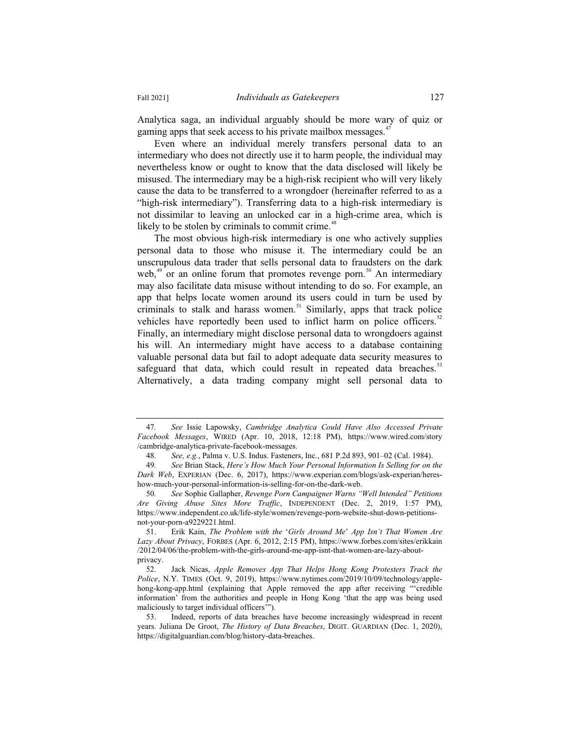Analytica saga, an individual arguably should be more wary of quiz or gaming apps that seek access to his private mailbox messages.<sup>4</sup>

Even where an individual merely transfers personal data to an intermediary who does not directly use it to harm people, the individual may nevertheless know or ought to know that the data disclosed will likely be misused. The intermediary may be a high-risk recipient who will very likely cause the data to be transferred to a wrongdoer (hereinafter referred to as a "high-risk intermediary"). Transferring data to a high-risk intermediary is not dissimilar to leaving an unlocked car in a high-crime area, which is likely to be stolen by criminals to commit crime.<sup>48</sup>

The most obvious high-risk intermediary is one who actively supplies personal data to those who misuse it. The intermediary could be an unscrupulous data trader that sells personal data to fraudsters on the dark web, $49$  or an online forum that promotes revenge porn.<sup>50</sup> An intermediary may also facilitate data misuse without intending to do so. For example, an app that helps locate women around its users could in turn be used by criminals to stalk and harass women.<sup>51</sup> Similarly, apps that track police vehicles have reportedly been used to inflict harm on police officers.<sup>52</sup> Finally, an intermediary might disclose personal data to wrongdoers against his will. An intermediary might have access to a database containing valuable personal data but fail to adopt adequate data security measures to safeguard that data, which could result in repeated data breaches.<sup>53</sup> Alternatively, a data trading company might sell personal data to

<sup>47</sup>*. See* Issie Lapowsky, *Cambridge Analytica Could Have Also Accessed Private Facebook Messages*, WIRED (Apr. 10, 2018, 12:18 PM), https://www.wired.com/story /cambridge-analytica-private-facebook-messages.

<sup>48</sup>*. See, e.g.*, Palma v. U.S. Indus. Fasteners, Inc*.*, 681 P.2d 893, 901–02 (Cal. 1984).

<sup>49</sup>*. See* Brian Stack, *Here's How Much Your Personal Information Is Selling for on the Dark Web*, EXPERIAN (Dec. 6, 2017), https://www.experian.com/blogs/ask-experian/hereshow-much-your-personal-information-is-selling-for-on-the-dark-web.

<sup>50</sup>*. See* Sophie Gallapher, *Revenge Porn Campaigner Warns "Well Intended" Petitions Are Giving Abuse Sites More Traffic*, INDEPENDENT (Dec. 2, 2019, 1:57 PM), https://www.independent.co.uk/life-style/women/revenge-porn-website-shut-down-petitionsnot-your-porn-a9229221.html.

<sup>51.</sup> Erik Kain, *The Problem with the* '*Girls Around Me*' *App Isn't That Women Are Lazy About Privacy*, FORBES (Apr. 6, 2012, 2:15 PM), https://www.forbes.com/sites/erikkain /2012/04/06/the-problem-with-the-girls-around-me-app-isnt-that-women-are-lazy-aboutprivacy.

<sup>52.</sup> Jack Nicas, *Apple Removes App That Helps Hong Kong Protesters Track the Police*, N.Y. TIMES (Oct. 9, 2019), https://www.nytimes.com/2019/10/09/technology/applehong-kong-app.html (explaining that Apple removed the app after receiving "'credible information' from the authorities and people in Hong Kong 'that the app was being used maliciously to target individual officers'").

<sup>53.</sup> Indeed, reports of data breaches have become increasingly widespread in recent years. Juliana De Groot, *The History of Data Breaches*, DIGIT. GUARDIAN (Dec. 1, 2020), https://digitalguardian.com/blog/history-data-breaches.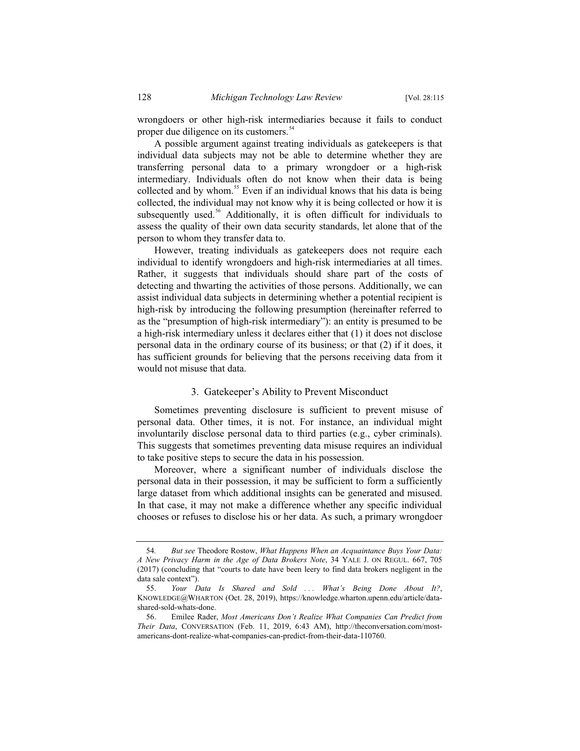wrongdoers or other high-risk intermediaries because it fails to conduct proper due diligence on its customers.<sup>54</sup>

A possible argument against treating individuals as gatekeepers is that individual data subjects may not be able to determine whether they are transferring personal data to a primary wrongdoer or a high-risk intermediary. Individuals often do not know when their data is being collected and by whom.<sup>55</sup> Even if an individual knows that his data is being collected, the individual may not know why it is being collected or how it is subsequently used.<sup>56</sup> Additionally, it is often difficult for individuals to assess the quality of their own data security standards, let alone that of the person to whom they transfer data to.

However, treating individuals as gatekeepers does not require each individual to identify wrongdoers and high-risk intermediaries at all times. Rather, it suggests that individuals should share part of the costs of detecting and thwarting the activities of those persons. Additionally, we can assist individual data subjects in determining whether a potential recipient is high-risk by introducing the following presumption (hereinafter referred to as the "presumption of high-risk intermediary"): an entity is presumed to be a high-risk intermediary unless it declares either that (1) it does not disclose personal data in the ordinary course of its business; or that (2) if it does, it has sufficient grounds for believing that the persons receiving data from it would not misuse that data.

#### 3. Gatekeeper's Ability to Prevent Misconduct

Sometimes preventing disclosure is sufficient to prevent misuse of personal data. Other times, it is not. For instance, an individual might involuntarily disclose personal data to third parties (e.g., cyber criminals). This suggests that sometimes preventing data misuse requires an individual to take positive steps to secure the data in his possession.

Moreover, where a significant number of individuals disclose the personal data in their possession, it may be sufficient to form a sufficiently large dataset from which additional insights can be generated and misused. In that case, it may not make a difference whether any specific individual chooses or refuses to disclose his or her data. As such, a primary wrongdoer

<sup>54</sup>*. But see* Theodore Rostow, *What Happens When an Acquaintance Buys Your Data: A New Privacy Harm in the Age of Data Brokers Note*, 34 YALE J. ON REGUL. 667, 705 (2017) (concluding that "courts to date have been leery to find data brokers negligent in the data sale context").

<sup>55.</sup> *Your Data Is Shared and Sold . . . What's Being Done About It?*, KNOWLEDGE@WHARTON (Oct. 28, 2019), https://knowledge.wharton.upenn.edu/article/datashared-sold-whats-done.

<sup>56.</sup> Emilee Rader, *Most Americans Don't Realize What Companies Can Predict from Their Data*, CONVERSATION (Feb. 11, 2019, 6:43 AM), http://theconversation.com/mostamericans-dont-realize-what-companies-can-predict-from-their-data-110760.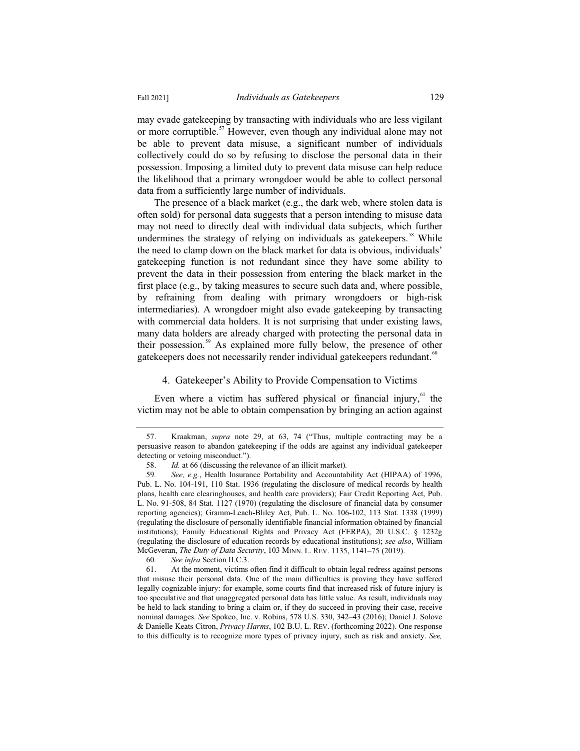may evade gatekeeping by transacting with individuals who are less vigilant or more corruptible.<sup>57</sup> However, even though any individual alone may not be able to prevent data misuse, a significant number of individuals collectively could do so by refusing to disclose the personal data in their possession. Imposing a limited duty to prevent data misuse can help reduce the likelihood that a primary wrongdoer would be able to collect personal data from a sufficiently large number of individuals.

The presence of a black market (e.g., the dark web, where stolen data is often sold) for personal data suggests that a person intending to misuse data may not need to directly deal with individual data subjects, which further undermines the strategy of relying on individuals as gatekeepers.<sup>58</sup> While the need to clamp down on the black market for data is obvious, individuals' gatekeeping function is not redundant since they have some ability to prevent the data in their possession from entering the black market in the first place (e.g., by taking measures to secure such data and, where possible, by refraining from dealing with primary wrongdoers or high-risk intermediaries). A wrongdoer might also evade gatekeeping by transacting with commercial data holders. It is not surprising that under existing laws, many data holders are already charged with protecting the personal data in their possession.<sup>59</sup> As explained more fully below, the presence of other gatekeepers does not necessarily render individual gatekeepers redundant.<sup>60</sup>

# 4. Gatekeeper's Ability to Provide Compensation to Victims

Even where a victim has suffered physical or financial injury, $61$  the victim may not be able to obtain compensation by bringing an action against

<sup>57.</sup> Kraakman, *supra* note 29, at 63, 74 ("Thus, multiple contracting may be a persuasive reason to abandon gatekeeping if the odds are against any individual gatekeeper detecting or vetoing misconduct.").

<sup>58.</sup> *Id.* at 66 (discussing the relevance of an illicit market)*.*

<sup>59</sup>*. See, e.g.*, Health Insurance Portability and Accountability Act (HIPAA) of 1996, Pub. L. No. 104-191, 110 Stat. 1936 (regulating the disclosure of medical records by health plans, health care clearinghouses, and health care providers); Fair Credit Reporting Act, Pub. L. No. 91-508, 84 Stat. 1127 (1970) (regulating the disclosure of financial data by consumer reporting agencies); Gramm-Leach-Bliley Act, Pub. L. No. 106-102, 113 Stat. 1338 (1999) (regulating the disclosure of personally identifiable financial information obtained by financial institutions); Family Educational Rights and Privacy Act (FERPA), 20 U.S.C. § 1232g (regulating the disclosure of education records by educational institutions); *see also*, William McGeveran, *The Duty of Data Security*, 103 MINN. L. REV. 1135, 1141–75 (2019).

<sup>60</sup>*. See infra* Section II.C.3.

<sup>61.</sup> At the moment, victims often find it difficult to obtain legal redress against persons that misuse their personal data. One of the main difficulties is proving they have suffered legally cognizable injury: for example, some courts find that increased risk of future injury is too speculative and that unaggregated personal data has little value. As result, individuals may be held to lack standing to bring a claim or, if they do succeed in proving their case, receive nominal damages. *See* Spokeo, Inc. v. Robins, 578 U.S. 330, 342–43 (2016); Daniel J. Solove & Danielle Keats Citron, *Privacy Harms*, 102 B.U. L. REV. (forthcoming 2022). One response to this difficulty is to recognize more types of privacy injury, such as risk and anxiety. *See,*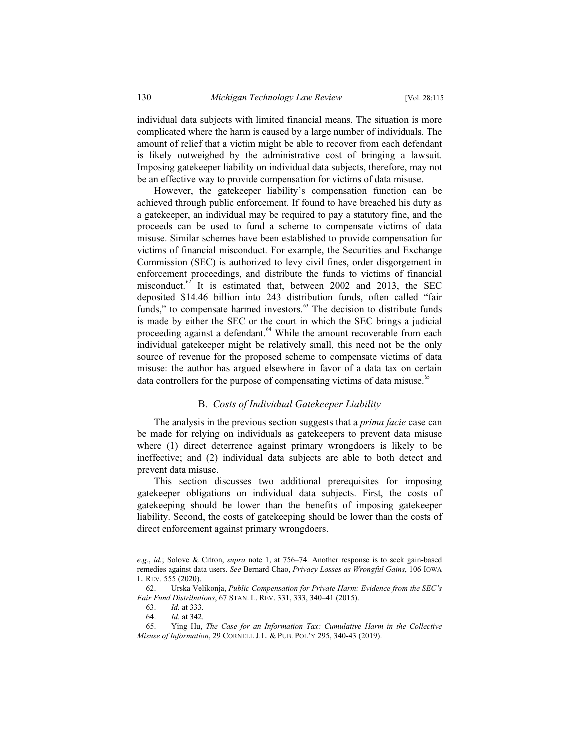individual data subjects with limited financial means. The situation is more complicated where the harm is caused by a large number of individuals. The amount of relief that a victim might be able to recover from each defendant is likely outweighed by the administrative cost of bringing a lawsuit. Imposing gatekeeper liability on individual data subjects, therefore, may not be an effective way to provide compensation for victims of data misuse.

However, the gatekeeper liability's compensation function can be achieved through public enforcement. If found to have breached his duty as a gatekeeper, an individual may be required to pay a statutory fine, and the proceeds can be used to fund a scheme to compensate victims of data misuse. Similar schemes have been established to provide compensation for victims of financial misconduct. For example, the Securities and Exchange Commission (SEC) is authorized to levy civil fines, order disgorgement in enforcement proceedings, and distribute the funds to victims of financial misconduct. $62$  It is estimated that, between 2002 and 2013, the SEC deposited \$14.46 billion into 243 distribution funds, often called "fair funds," to compensate harmed investors.<sup>63</sup> The decision to distribute funds is made by either the SEC or the court in which the SEC brings a judicial proceeding against a defendant.<sup>64</sup> While the amount recoverable from each individual gatekeeper might be relatively small, this need not be the only source of revenue for the proposed scheme to compensate victims of data misuse: the author has argued elsewhere in favor of a data tax on certain data controllers for the purpose of compensating victims of data misuse.<sup>65</sup>

#### B. *Costs of Individual Gatekeeper Liability*

The analysis in the previous section suggests that a *prima facie* case can be made for relying on individuals as gatekeepers to prevent data misuse where (1) direct deterrence against primary wrongdoers is likely to be ineffective; and (2) individual data subjects are able to both detect and prevent data misuse.

This section discusses two additional prerequisites for imposing gatekeeper obligations on individual data subjects. First, the costs of gatekeeping should be lower than the benefits of imposing gatekeeper liability. Second, the costs of gatekeeping should be lower than the costs of direct enforcement against primary wrongdoers.

*e.g.*, *id.*; Solove & Citron, *supra* note 1, at 756–74. Another response is to seek gain-based remedies against data users. *See* Bernard Chao, *Privacy Losses as Wrongful Gains*, 106 IOWA L. REV. 555 (2020).

<sup>62.</sup> Urska Velikonja, *Public Compensation for Private Harm: Evidence from the SEC's Fair Fund Distributions*, 67 STAN. L. REV. 331, 333, 340–41 (2015).

<sup>63.</sup> *Id.* at 333*.*

<sup>64.</sup> *Id.* at 342*.*

<sup>65.</sup> Ying Hu, *The Case for an Information Tax: Cumulative Harm in the Collective Misuse of Information*, 29 CORNELL J.L. & PUB. POL'Y 295, 340-43 (2019).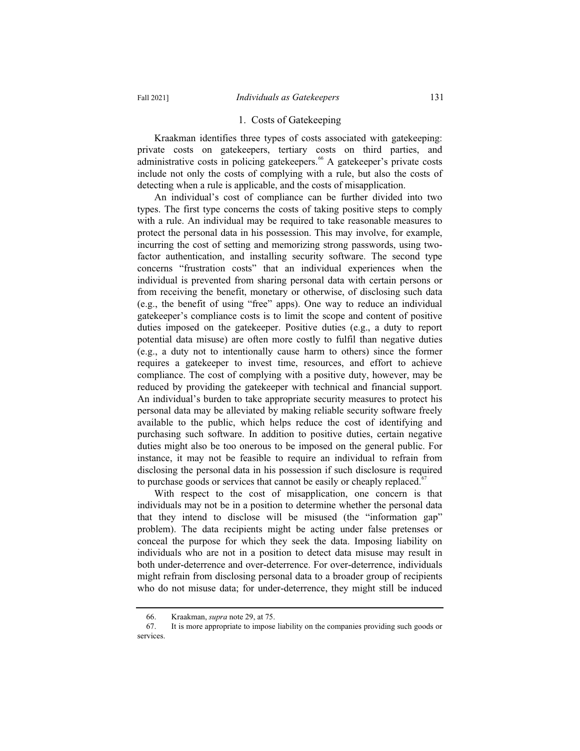#### 1. Costs of Gatekeeping

Kraakman identifies three types of costs associated with gatekeeping: private costs on gatekeepers, tertiary costs on third parties, and administrative costs in policing gatekeepers.<sup>66</sup> A gatekeeper's private costs include not only the costs of complying with a rule, but also the costs of detecting when a rule is applicable, and the costs of misapplication.

An individual's cost of compliance can be further divided into two types. The first type concerns the costs of taking positive steps to comply with a rule. An individual may be required to take reasonable measures to protect the personal data in his possession. This may involve, for example, incurring the cost of setting and memorizing strong passwords, using twofactor authentication, and installing security software. The second type concerns "frustration costs" that an individual experiences when the individual is prevented from sharing personal data with certain persons or from receiving the benefit, monetary or otherwise, of disclosing such data (e.g., the benefit of using "free" apps). One way to reduce an individual gatekeeper's compliance costs is to limit the scope and content of positive duties imposed on the gatekeeper. Positive duties (e.g., a duty to report potential data misuse) are often more costly to fulfil than negative duties (e.g., a duty not to intentionally cause harm to others) since the former requires a gatekeeper to invest time, resources, and effort to achieve compliance. The cost of complying with a positive duty, however, may be reduced by providing the gatekeeper with technical and financial support. An individual's burden to take appropriate security measures to protect his personal data may be alleviated by making reliable security software freely available to the public, which helps reduce the cost of identifying and purchasing such software. In addition to positive duties, certain negative duties might also be too onerous to be imposed on the general public. For instance, it may not be feasible to require an individual to refrain from disclosing the personal data in his possession if such disclosure is required to purchase goods or services that cannot be easily or cheaply replaced.<sup>67</sup>

With respect to the cost of misapplication, one concern is that individuals may not be in a position to determine whether the personal data that they intend to disclose will be misused (the "information gap" problem). The data recipients might be acting under false pretenses or conceal the purpose for which they seek the data. Imposing liability on individuals who are not in a position to detect data misuse may result in both under-deterrence and over-deterrence. For over-deterrence, individuals might refrain from disclosing personal data to a broader group of recipients who do not misuse data; for under-deterrence, they might still be induced

<sup>66.</sup> Kraakman, *supra* note 29, at 75.

<sup>67.</sup> It is more appropriate to impose liability on the companies providing such goods or services.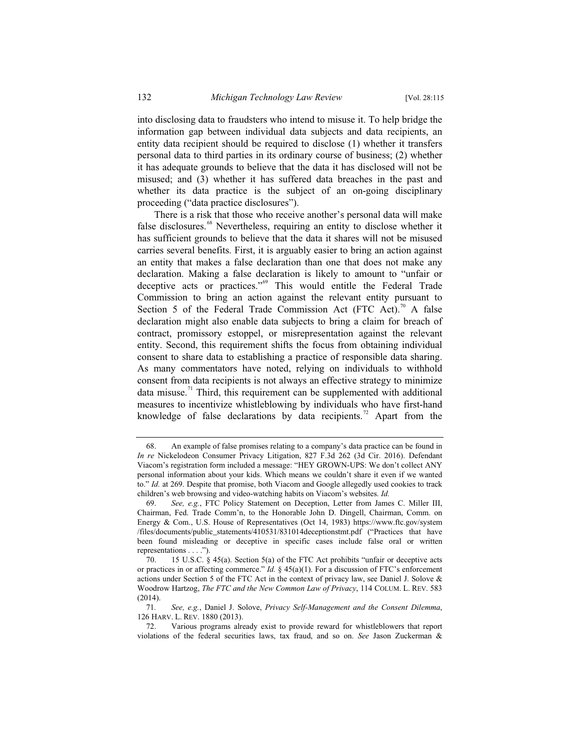into disclosing data to fraudsters who intend to misuse it. To help bridge the information gap between individual data subjects and data recipients, an entity data recipient should be required to disclose (1) whether it transfers personal data to third parties in its ordinary course of business; (2) whether it has adequate grounds to believe that the data it has disclosed will not be misused; and (3) whether it has suffered data breaches in the past and whether its data practice is the subject of an on-going disciplinary proceeding ("data practice disclosures").

There is a risk that those who receive another's personal data will make false disclosures.<sup>68</sup> Nevertheless, requiring an entity to disclose whether it has sufficient grounds to believe that the data it shares will not be misused carries several benefits. First, it is arguably easier to bring an action against an entity that makes a false declaration than one that does not make any declaration. Making a false declaration is likely to amount to "unfair or deceptive acts or practices."<sup>69</sup> This would entitle the Federal Trade Commission to bring an action against the relevant entity pursuant to Section 5 of the Federal Trade Commission Act (FTC Act).<sup>70</sup> A false declaration might also enable data subjects to bring a claim for breach of contract, promissory estoppel, or misrepresentation against the relevant entity. Second, this requirement shifts the focus from obtaining individual consent to share data to establishing a practice of responsible data sharing. As many commentators have noted, relying on individuals to withhold consent from data recipients is not always an effective strategy to minimize data misuse.<sup>71</sup> Third, this requirement can be supplemented with additional measures to incentivize whistleblowing by individuals who have first-hand knowledge of false declarations by data recipients.<sup>72</sup> Apart from the

<sup>68.</sup> An example of false promises relating to a company's data practice can be found in *In re* Nickelodeon Consumer Privacy Litigation, 827 F.3d 262 (3d Cir. 2016). Defendant Viacom's registration form included a message: "HEY GROWN-UPS: We don't collect ANY personal information about your kids. Which means we couldn't share it even if we wanted to." *Id.* at 269. Despite that promise, both Viacom and Google allegedly used cookies to track children's web browsing and video-watching habits on Viacom's websites. *Id.*

<sup>69.</sup> *See, e.g.*, FTC Policy Statement on Deception, Letter from James C. Miller III, Chairman, Fed. Trade Comm'n, to the Honorable John D. Dingell, Chairman, Comm. on Energy & Com., U.S. House of Representatives (Oct 14, 1983) https://www.ftc.gov/system /files/documents/public\_statements/410531/831014deceptionstmt.pdf ("Practices that have been found misleading or deceptive in specific cases include false oral or written representations . . . .").

<sup>70. 15</sup> U.S.C. § 45(a). Section 5(a) of the FTC Act prohibits "unfair or deceptive acts or practices in or affecting commerce." *Id.* § 45(a)(1). For a discussion of FTC's enforcement actions under Section 5 of the FTC Act in the context of privacy law, see Daniel J. Solove & Woodrow Hartzog, *The FTC and the New Common Law of Privacy*, 114 COLUM. L. REV. 583 (2014).

<sup>71</sup>*. See, e.g.*, Daniel J. Solove, *Privacy Self-Management and the Consent Dilemma*, 126 HARV. L. REV. 1880 (2013).

<sup>72.</sup> Various programs already exist to provide reward for whistleblowers that report violations of the federal securities laws, tax fraud, and so on. *See* Jason Zuckerman &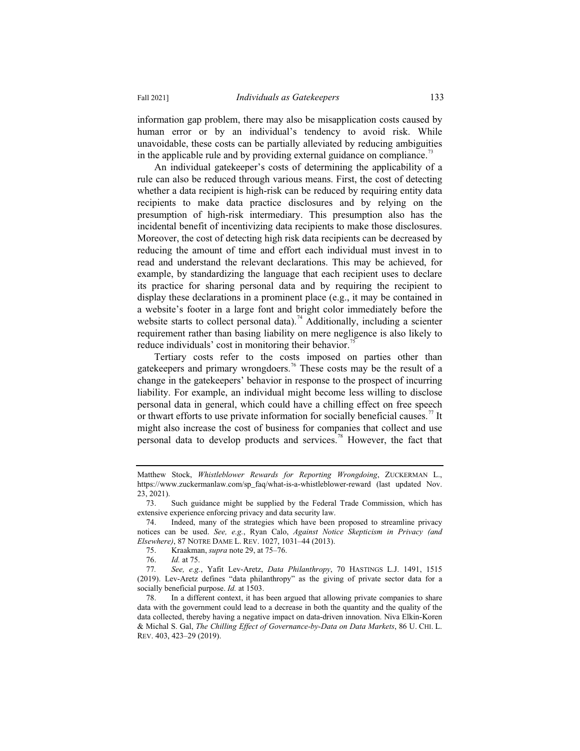information gap problem, there may also be misapplication costs caused by human error or by an individual's tendency to avoid risk. While unavoidable, these costs can be partially alleviated by reducing ambiguities in the applicable rule and by providing external guidance on compliance.<sup>73</sup>

An individual gatekeeper's costs of determining the applicability of a rule can also be reduced through various means. First, the cost of detecting whether a data recipient is high-risk can be reduced by requiring entity data recipients to make data practice disclosures and by relying on the presumption of high-risk intermediary. This presumption also has the incidental benefit of incentivizing data recipients to make those disclosures. Moreover, the cost of detecting high risk data recipients can be decreased by reducing the amount of time and effort each individual must invest in to read and understand the relevant declarations. This may be achieved, for example, by standardizing the language that each recipient uses to declare its practice for sharing personal data and by requiring the recipient to display these declarations in a prominent place (e.g., it may be contained in a website's footer in a large font and bright color immediately before the website starts to collect personal data).<sup>74</sup> Additionally, including a scienter requirement rather than basing liability on mere negligence is also likely to reduce individuals' cost in monitoring their behavior.<sup>7</sup>

Tertiary costs refer to the costs imposed on parties other than gatekeepers and primary wrongdoers.<sup>76</sup> These costs may be the result of a change in the gatekeepers' behavior in response to the prospect of incurring liability. For example, an individual might become less willing to disclose personal data in general, which could have a chilling effect on free speech or thwart efforts to use private information for socially beneficial causes.<sup>77</sup> It might also increase the cost of business for companies that collect and use personal data to develop products and services.<sup>78</sup> However, the fact that

75. Kraakman, *supra* note 29, at 75–76.

Matthew Stock, *Whistleblower Rewards for Reporting Wrongdoing*, ZUCKERMAN L., https://www.zuckermanlaw.com/sp\_faq/what-is-a-whistleblower-reward (last updated Nov. 23, 2021).

<sup>73.</sup> Such guidance might be supplied by the Federal Trade Commission, which has extensive experience enforcing privacy and data security law.

<sup>74.</sup> Indeed, many of the strategies which have been proposed to streamline privacy notices can be used. *See, e.g.*, Ryan Calo, *Against Notice Skepticism in Privacy (and Elsewhere)*, 87 NOTRE DAME L. REV. 1027, 1031–44 (2013).

<sup>76.</sup> *Id.* at 75.

<sup>77</sup>*. See, e.g.*, Yafit Lev-Aretz, *Data Philanthropy*, 70 HASTINGS L.J. 1491, 1515 (2019). Lev-Aretz defines "data philanthropy" as the giving of private sector data for a socially beneficial purpose. *Id.* at 1503.

<sup>78.</sup> In a different context, it has been argued that allowing private companies to share data with the government could lead to a decrease in both the quantity and the quality of the data collected, thereby having a negative impact on data-driven innovation. Niva Elkin-Koren & Michal S. Gal, *The Chilling Effect of Governance-by-Data on Data Markets*, 86 U. CHI. L. REV. 403, 423–29 (2019).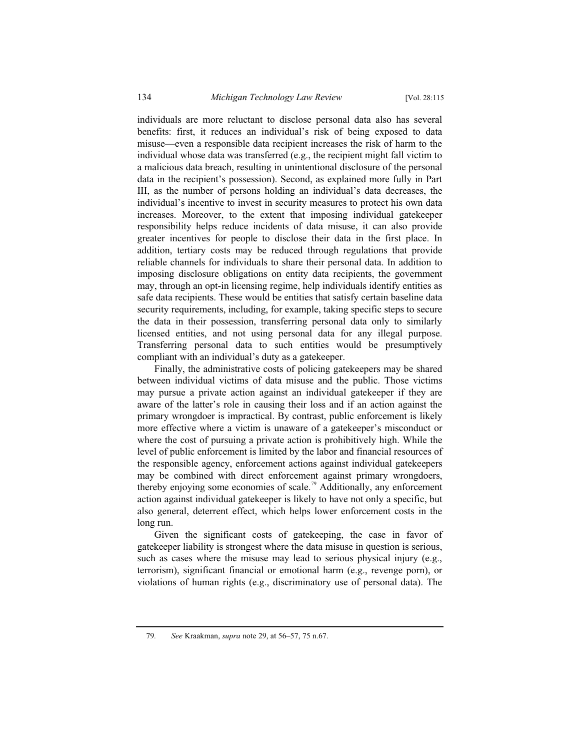individuals are more reluctant to disclose personal data also has several benefits: first, it reduces an individual's risk of being exposed to data misuse—even a responsible data recipient increases the risk of harm to the individual whose data was transferred (e.g., the recipient might fall victim to a malicious data breach, resulting in unintentional disclosure of the personal data in the recipient's possession). Second, as explained more fully in Part III, as the number of persons holding an individual's data decreases, the individual's incentive to invest in security measures to protect his own data increases. Moreover, to the extent that imposing individual gatekeeper responsibility helps reduce incidents of data misuse, it can also provide greater incentives for people to disclose their data in the first place. In addition, tertiary costs may be reduced through regulations that provide reliable channels for individuals to share their personal data. In addition to imposing disclosure obligations on entity data recipients, the government may, through an opt-in licensing regime, help individuals identify entities as safe data recipients. These would be entities that satisfy certain baseline data security requirements, including, for example, taking specific steps to secure the data in their possession, transferring personal data only to similarly licensed entities, and not using personal data for any illegal purpose. Transferring personal data to such entities would be presumptively compliant with an individual's duty as a gatekeeper.

Finally, the administrative costs of policing gatekeepers may be shared between individual victims of data misuse and the public. Those victims may pursue a private action against an individual gatekeeper if they are aware of the latter's role in causing their loss and if an action against the primary wrongdoer is impractical. By contrast, public enforcement is likely more effective where a victim is unaware of a gatekeeper's misconduct or where the cost of pursuing a private action is prohibitively high. While the level of public enforcement is limited by the labor and financial resources of the responsible agency, enforcement actions against individual gatekeepers may be combined with direct enforcement against primary wrongdoers, thereby enjoying some economies of scale.<sup>79</sup> Additionally, any enforcement action against individual gatekeeper is likely to have not only a specific, but also general, deterrent effect, which helps lower enforcement costs in the long run.

Given the significant costs of gatekeeping, the case in favor of gatekeeper liability is strongest where the data misuse in question is serious, such as cases where the misuse may lead to serious physical injury (e.g., terrorism), significant financial or emotional harm (e.g., revenge porn), or violations of human rights (e.g., discriminatory use of personal data). The

<sup>79</sup>*. See* Kraakman, *supra* note 29, at 56–57, 75 n.67.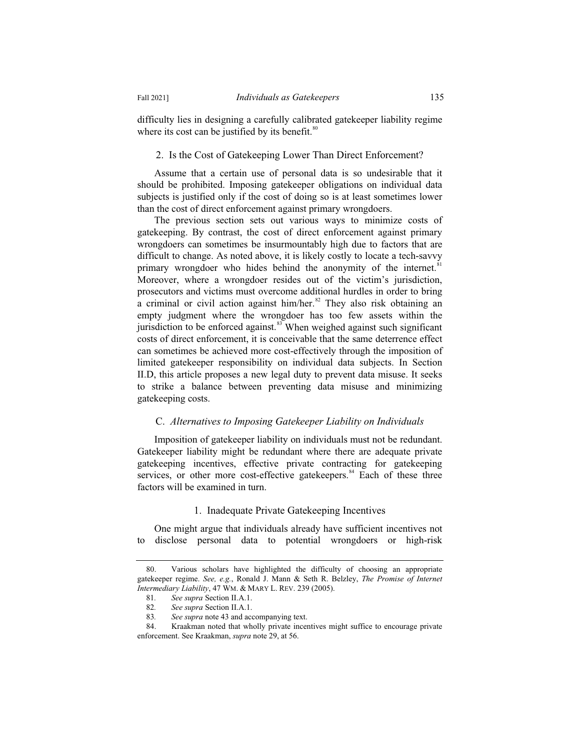difficulty lies in designing a carefully calibrated gatekeeper liability regime where its cost can be justified by its benefit. $80^\circ$ 

# 2. Is the Cost of Gatekeeping Lower Than Direct Enforcement?

Assume that a certain use of personal data is so undesirable that it should be prohibited. Imposing gatekeeper obligations on individual data subjects is justified only if the cost of doing so is at least sometimes lower than the cost of direct enforcement against primary wrongdoers.

The previous section sets out various ways to minimize costs of gatekeeping. By contrast, the cost of direct enforcement against primary wrongdoers can sometimes be insurmountably high due to factors that are difficult to change. As noted above, it is likely costly to locate a tech-savvy primary wrongdoer who hides behind the anonymity of the internet.<sup>8</sup> Moreover, where a wrongdoer resides out of the victim's jurisdiction, prosecutors and victims must overcome additional hurdles in order to bring a criminal or civil action against him/her. $82$  They also risk obtaining an empty judgment where the wrongdoer has too few assets within the jurisdiction to be enforced against. $83$  When weighed against such significant costs of direct enforcement, it is conceivable that the same deterrence effect can sometimes be achieved more cost-effectively through the imposition of limited gatekeeper responsibility on individual data subjects. In Section II.D, this article proposes a new legal duty to prevent data misuse. It seeks to strike a balance between preventing data misuse and minimizing gatekeeping costs.

# C. *Alternatives to Imposing Gatekeeper Liability on Individuals*

Imposition of gatekeeper liability on individuals must not be redundant. Gatekeeper liability might be redundant where there are adequate private gatekeeping incentives, effective private contracting for gatekeeping services, or other more cost-effective gatekeepers.<sup>84</sup> Each of these three factors will be examined in turn.

#### 1. Inadequate Private Gatekeeping Incentives

One might argue that individuals already have sufficient incentives not to disclose personal data to potential wrongdoers or high-risk

<sup>80.</sup> Various scholars have highlighted the difficulty of choosing an appropriate gatekeeper regime. *See, e.g.*, Ronald J. Mann & Seth R. Belzley, *The Promise of Internet Intermediary Liability*, 47 WM.&MARY L. REV. 239 (2005).

<sup>81</sup>*. See supra* Section II.A.1.

<sup>82</sup>*. See supra* Section II.A.1.

<sup>83</sup>*. See supra* note 43 and accompanying text.

<sup>84.</sup> Kraakman noted that wholly private incentives might suffice to encourage private enforcement. See Kraakman, *supra* note 29, at 56.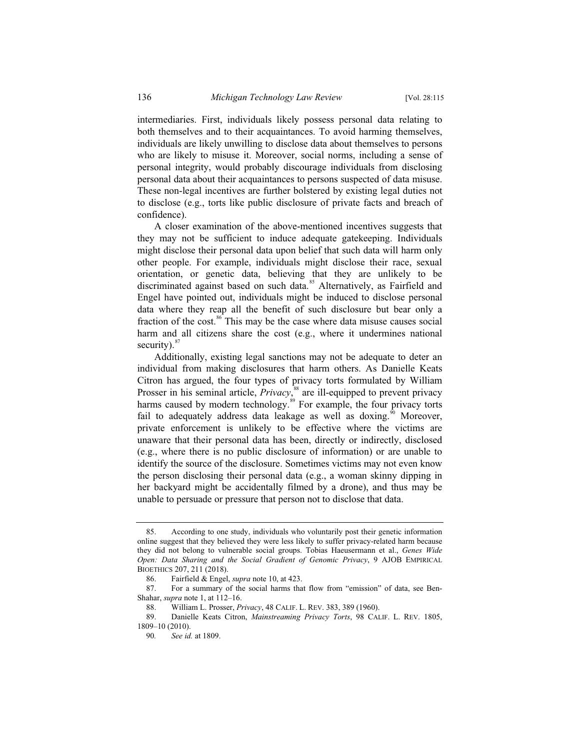intermediaries. First, individuals likely possess personal data relating to both themselves and to their acquaintances. To avoid harming themselves, individuals are likely unwilling to disclose data about themselves to persons who are likely to misuse it. Moreover, social norms, including a sense of personal integrity, would probably discourage individuals from disclosing personal data about their acquaintances to persons suspected of data misuse. These non-legal incentives are further bolstered by existing legal duties not to disclose (e.g., torts like public disclosure of private facts and breach of confidence).

A closer examination of the above-mentioned incentives suggests that they may not be sufficient to induce adequate gatekeeping. Individuals might disclose their personal data upon belief that such data will harm only other people. For example, individuals might disclose their race, sexual orientation, or genetic data, believing that they are unlikely to be discriminated against based on such data.<sup>85</sup> Alternatively, as Fairfield and Engel have pointed out, individuals might be induced to disclose personal data where they reap all the benefit of such disclosure but bear only a fraction of the cost.<sup>86</sup> This may be the case where data misuse causes social harm and all citizens share the cost (e.g., where it undermines national security). $87$ 

Additionally, existing legal sanctions may not be adequate to deter an individual from making disclosures that harm others. As Danielle Keats Citron has argued, the four types of privacy torts formulated by William Prosser in his seminal article, *Privacy*,<sup>88</sup> are ill-equipped to prevent privacy harms caused by modern technology.<sup>89</sup> For example, the four privacy torts fail to adequately address data leakage as well as doxing.<sup>90</sup> Moreover, private enforcement is unlikely to be effective where the victims are unaware that their personal data has been, directly or indirectly, disclosed (e.g., where there is no public disclosure of information) or are unable to identify the source of the disclosure. Sometimes victims may not even know the person disclosing their personal data (e.g., a woman skinny dipping in her backyard might be accidentally filmed by a drone), and thus may be unable to persuade or pressure that person not to disclose that data.

<sup>85.</sup> According to one study, individuals who voluntarily post their genetic information online suggest that they believed they were less likely to suffer privacy-related harm because they did not belong to vulnerable social groups. Tobias Haeusermann et al., *Genes Wide Open: Data Sharing and the Social Gradient of Genomic Privacy*, 9 AJOB EMPIRICAL BIOETHICS 207, 211 (2018).

<sup>86.</sup> Fairfield & Engel, *supra* note 10, at 423.

<sup>87.</sup> For a summary of the social harms that flow from "emission" of data, see Ben-Shahar, *supra* note 1, at 112–16.

<sup>88.</sup> William L. Prosser, *Privacy*, 48 CALIF. L. REV. 383, 389 (1960).

<sup>89.</sup> Danielle Keats Citron, *Mainstreaming Privacy Torts*, 98 CALIF. L. REV. 1805, 1809–10 (2010).

<sup>90</sup>*. See id.* at 1809.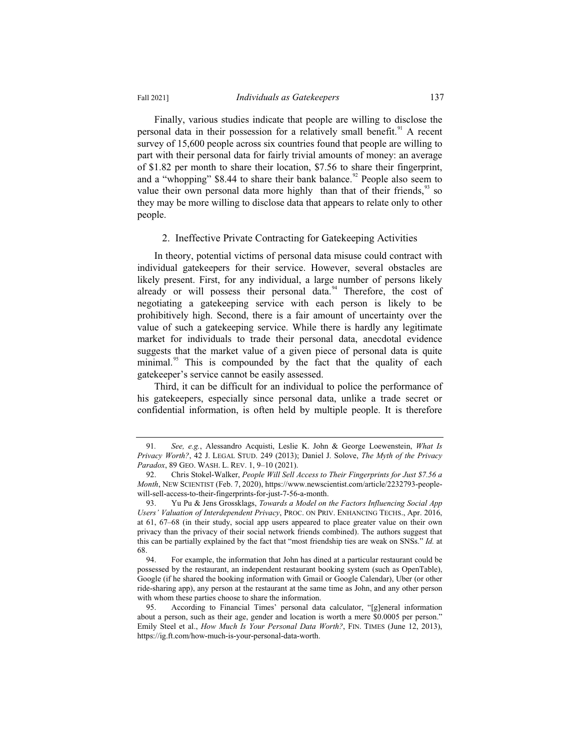Finally, various studies indicate that people are willing to disclose the personal data in their possession for a relatively small benefit.<sup>91</sup> A recent survey of 15,600 people across six countries found that people are willing to part with their personal data for fairly trivial amounts of money: an average of \$1.82 per month to share their location, \$7.56 to share their fingerprint, and a "whopping" \$8.44 to share their bank balance.<sup>92</sup> People also seem to value their own personal data more highly than that of their friends,  $93$  so they may be more willing to disclose data that appears to relate only to other people.

#### 2. Ineffective Private Contracting for Gatekeeping Activities

In theory, potential victims of personal data misuse could contract with individual gatekeepers for their service. However, several obstacles are likely present. First, for any individual, a large number of persons likely already or will possess their personal data.<sup>94</sup> Therefore, the cost of negotiating a gatekeeping service with each person is likely to be prohibitively high. Second, there is a fair amount of uncertainty over the value of such a gatekeeping service. While there is hardly any legitimate market for individuals to trade their personal data, anecdotal evidence suggests that the market value of a given piece of personal data is quite minimal.<sup>95</sup> This is compounded by the fact that the quality of each gatekeeper's service cannot be easily assessed.

Third, it can be difficult for an individual to police the performance of his gatekeepers, especially since personal data, unlike a trade secret or confidential information, is often held by multiple people. It is therefore

<sup>91</sup>*. See, e.g.*, Alessandro Acquisti, Leslie K. John & George Loewenstein, *What Is Privacy Worth?*, 42 J. LEGAL STUD. 249 (2013); Daniel J. Solove, *The Myth of the Privacy Paradox*, 89 GEO. WASH. L. REV. 1, 9–10 (2021).

<sup>92.</sup> Chris Stokel-Walker, *People Will Sell Access to Their Fingerprints for Just \$7.56 a Month*, NEW SCIENTIST (Feb. 7, 2020), https://www.newscientist.com/article/2232793-peoplewill-sell-access-to-their-fingerprints-for-just-7-56-a-month.

<sup>93.</sup> Yu Pu & Jens Grossklags, *Towards a Model on the Factors Influencing Social App Users' Valuation of Interdependent Privacy*, PROC. ON PRIV. ENHANCING TECHS., Apr. 2016, at 61, 67–68 (in their study, social app users appeared to place greater value on their own privacy than the privacy of their social network friends combined). The authors suggest that this can be partially explained by the fact that "most friendship ties are weak on SNSs." *Id.* at 68.

<sup>94.</sup> For example, the information that John has dined at a particular restaurant could be possessed by the restaurant, an independent restaurant booking system (such as OpenTable), Google (if he shared the booking information with Gmail or Google Calendar), Uber (or other ride-sharing app), any person at the restaurant at the same time as John, and any other person with whom these parties choose to share the information.

<sup>95.</sup> According to Financial Times' personal data calculator, "[g]eneral information about a person, such as their age, gender and location is worth a mere \$0.0005 per person." Emily Steel et al., *How Much Is Your Personal Data Worth?*, FIN. TIMES (June 12, 2013), https://ig.ft.com/how-much-is-your-personal-data-worth.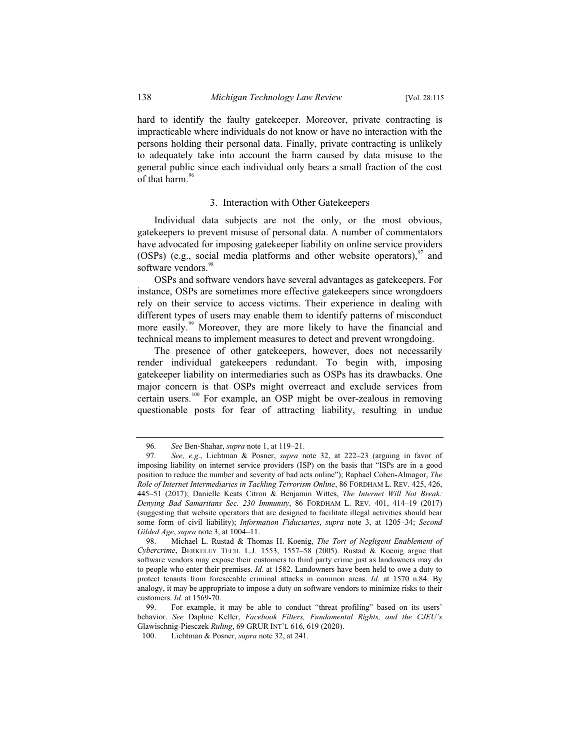hard to identify the faulty gatekeeper. Moreover, private contracting is impracticable where individuals do not know or have no interaction with the persons holding their personal data. Finally, private contracting is unlikely to adequately take into account the harm caused by data misuse to the general public since each individual only bears a small fraction of the cost of that harm. $96$ 

#### 3. Interaction with Other Gatekeepers

Individual data subjects are not the only, or the most obvious, gatekeepers to prevent misuse of personal data. A number of commentators have advocated for imposing gatekeeper liability on online service providers (OSPs) (e.g., social media platforms and other website operators), $\frac{97}{7}$  and software vendors.<sup>98</sup>

OSPs and software vendors have several advantages as gatekeepers. For instance, OSPs are sometimes more effective gatekeepers since wrongdoers rely on their service to access victims. Their experience in dealing with different types of users may enable them to identify patterns of misconduct more easily.<sup>99</sup> Moreover, they are more likely to have the financial and technical means to implement measures to detect and prevent wrongdoing.

The presence of other gatekeepers, however, does not necessarily render individual gatekeepers redundant. To begin with, imposing gatekeeper liability on intermediaries such as OSPs has its drawbacks. One major concern is that OSPs might overreact and exclude services from certain users.<sup>100</sup> For example, an OSP might be over-zealous in removing questionable posts for fear of attracting liability, resulting in undue

<sup>96</sup>*. See* Ben-Shahar, *supra* note 1, at 119–21.

<sup>97</sup>*. See, e.g.*, Lichtman & Posner, *supra* note 32, at 222–23 (arguing in favor of imposing liability on internet service providers (ISP) on the basis that "ISPs are in a good position to reduce the number and severity of bad acts online"); Raphael Cohen-Almagor, *The Role of Internet Intermediaries in Tackling Terrorism Online*, 86 FORDHAM L. REV. 425, 426, 445–51 (2017); Danielle Keats Citron & Benjamin Wittes, *The Internet Will Not Break: Denying Bad Samaritans Sec. 230 Immunity*, 86 FORDHAM L. REV. 401, 414–19 (2017) (suggesting that website operators that are designed to facilitate illegal activities should bear some form of civil liability); *Information Fiduciaries*, *supra* note 3, at 1205–34; *Second Gilded Age*, *supra* note 3, at 1004–11.

<sup>98.</sup> Michael L. Rustad & Thomas H. Koenig, *The Tort of Negligent Enablement of Cybercrime*, BERKELEY TECH. L.J. 1553, 1557–58 (2005). Rustad & Koenig argue that software vendors may expose their customers to third party crime just as landowners may do to people who enter their premises. *Id.* at 1582. Landowners have been held to owe a duty to protect tenants from foreseeable criminal attacks in common areas. *Id.* at 1570 n.84. By analogy, it may be appropriate to impose a duty on software vendors to minimize risks to their customers. *Id.* at 1569-70.

<sup>99.</sup> For example, it may be able to conduct "threat profiling" based on its users' behavior. *See* Daphne Keller, *Facebook Filters, Fundamental Rights, and the CJEU's* Glawischnig-Piesczek *Ruling*, 69 GRUR INT'L 616, 619 (2020).

<sup>100.</sup> Lichtman & Posner, *supra* note 32, at 241.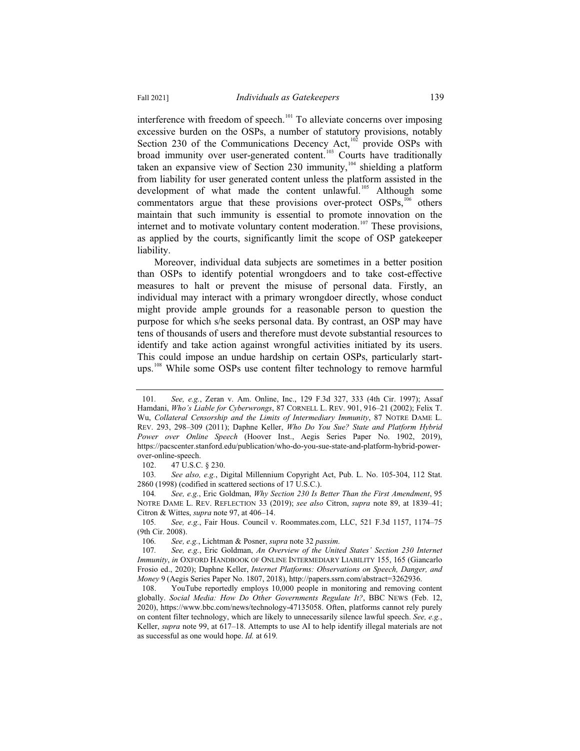interference with freedom of speech.<sup>101</sup> To alleviate concerns over imposing excessive burden on the OSPs, a number of statutory provisions, notably Section 230 of the Communications Decency Act, $10^2$  provide OSPs with broad immunity over user-generated content.<sup>103</sup> Courts have traditionally taken an expansive view of Section 230 immunity, $104$  shielding a platform from liability for user generated content unless the platform assisted in the development of what made the content unlawful.<sup>105</sup> Although some commentators argue that these provisions over-protect  $OSPs<sub>106</sub>$  others maintain that such immunity is essential to promote innovation on the internet and to motivate voluntary content moderation.<sup>107</sup> These provisions, as applied by the courts, significantly limit the scope of OSP gatekeeper liability.

Moreover, individual data subjects are sometimes in a better position than OSPs to identify potential wrongdoers and to take cost-effective measures to halt or prevent the misuse of personal data. Firstly, an individual may interact with a primary wrongdoer directly, whose conduct might provide ample grounds for a reasonable person to question the purpose for which s/he seeks personal data. By contrast, an OSP may have tens of thousands of users and therefore must devote substantial resources to identify and take action against wrongful activities initiated by its users. This could impose an undue hardship on certain OSPs, particularly startups.<sup>108</sup> While some OSPs use content filter technology to remove harmful

<sup>101</sup>*. See, e.g.*, Zeran v. Am. Online, Inc., 129 F.3d 327, 333 (4th Cir. 1997); Assaf Hamdani, *Who's Liable for Cyberwrongs*, 87 CORNELL L. REV. 901, 916–21 (2002); Felix T. Wu, *Collateral Censorship and the Limits of Intermediary Immunity*, 87 NOTRE DAME L. REV. 293, 298–309 (2011); Daphne Keller, *Who Do You Sue? State and Platform Hybrid Power over Online Speech* (Hoover Inst., Aegis Series Paper No. 1902, 2019), https://pacscenter.stanford.edu/publication/who-do-you-sue-state-and-platform-hybrid-powerover-online-speech.

<sup>102. 47</sup> U.S.C. § 230.

<sup>103</sup>*. See also, e.g.*, Digital Millennium Copyright Act, Pub. L. No. 105-304, 112 Stat. 2860 (1998) (codified in scattered sections of 17 U.S.C.).

<sup>104</sup>*. See, e.g.*, Eric Goldman, *Why Section 230 Is Better Than the First Amendment*, 95 NOTRE DAME L. REV. REFLECTION 33 (2019); *see also* Citron, *supra* note 89, at 1839–41; Citron & Wittes, *supra* note 97, at 406–14.

<sup>105</sup>*. See, e.g.*, Fair Hous. Council v. Roommates.com, LLC, 521 F.3d 1157, 1174–75 (9th Cir. 2008).<br>106. See, 6

<sup>106</sup>*. See, e.g.*, Lichtman & Posner, *supra* note 32 *passim*.

<sup>107</sup>*. See, e.g.*, Eric Goldman, *An Overview of the United States' Section 230 Internet Immunity*, *in* OXFORD HANDBOOK OF ONLINE INTERMEDIARY LIABILITY 155, 165 (Giancarlo Frosio ed., 2020); Daphne Keller, *Internet Platforms: Observations on Speech, Danger, and Money* 9 (Aegis Series Paper No. 1807, 2018), http://papers.ssrn.com/abstract=3262936.

<sup>108.</sup> YouTube reportedly employs 10,000 people in monitoring and removing content globally. *Social Media: How Do Other Governments Regulate It?*, BBC NEWS (Feb. 12, 2020), https://www.bbc.com/news/technology-47135058. Often, platforms cannot rely purely on content filter technology, which are likely to unnecessarily silence lawful speech. *See, e.g.*, Keller, *supra* note 99, at 617–18. Attempts to use AI to help identify illegal materials are not as successful as one would hope. *Id.* at 619*.*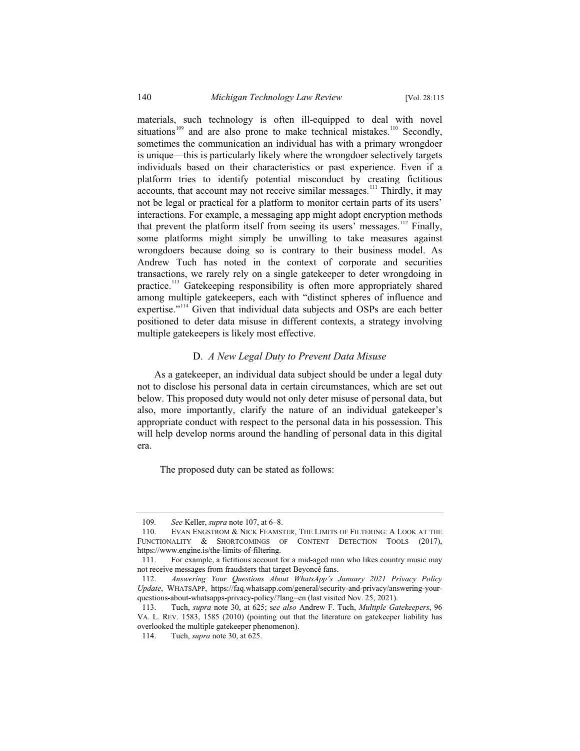materials, such technology is often ill-equipped to deal with novel situations<sup>109</sup> and are also prone to make technical mistakes.<sup>110</sup> Secondly, sometimes the communication an individual has with a primary wrongdoer is unique—this is particularly likely where the wrongdoer selectively targets individuals based on their characteristics or past experience. Even if a platform tries to identify potential misconduct by creating fictitious accounts, that account may not receive similar messages.<sup>111</sup> Thirdly, it may not be legal or practical for a platform to monitor certain parts of its users' interactions. For example, a messaging app might adopt encryption methods that prevent the platform itself from seeing its users' messages.<sup>112</sup> Finally, some platforms might simply be unwilling to take measures against wrongdoers because doing so is contrary to their business model. As Andrew Tuch has noted in the context of corporate and securities transactions, we rarely rely on a single gatekeeper to deter wrongdoing in practice.<sup>113</sup> Gatekeeping responsibility is often more appropriately shared among multiple gatekeepers, each with "distinct spheres of influence and expertise."<sup>114</sup> Given that individual data subjects and OSPs are each better positioned to deter data misuse in different contexts, a strategy involving multiple gatekeepers is likely most effective.

#### D. *A New Legal Duty to Prevent Data Misuse*

As a gatekeeper, an individual data subject should be under a legal duty not to disclose his personal data in certain circumstances, which are set out below. This proposed duty would not only deter misuse of personal data, but also, more importantly, clarify the nature of an individual gatekeeper's appropriate conduct with respect to the personal data in his possession. This will help develop norms around the handling of personal data in this digital era.

The proposed duty can be stated as follows:

<sup>109.</sup> See Keller, *supra* note 107, at 6–8.<br>110. EVAN ENGSTROM & NICK FEAMS

EVAN ENGSTROM & NICK FEAMSTER, THE LIMITS OF FILTERING: A LOOK AT THE FUNCTIONALITY & SHORTCOMINGS OF CONTENT DETECTION TOOLS (2017), https://www.engine.is/the-limits-of-filtering.

<sup>111.</sup> For example, a fictitious account for a mid-aged man who likes country music may not receive messages from fraudsters that target Beyoncé fans.

<sup>112.</sup> *Answering Your Questions About WhatsApp's January 2021 Privacy Policy Update*, WHATSAPP, https://faq.whatsapp.com/general/security-and-privacy/answering-yourquestions-about-whatsapps-privacy-policy/?lang=en (last visited Nov. 25, 2021).

<sup>113.</sup> Tuch, *supra* note 30, at 625; s*ee also* Andrew F. Tuch, *Multiple Gatekeepers*, 96 VA. L. REV. 1583, 1585 (2010) (pointing out that the literature on gatekeeper liability has overlooked the multiple gatekeeper phenomenon).

<sup>114.</sup> Tuch, *supra* note 30, at 625.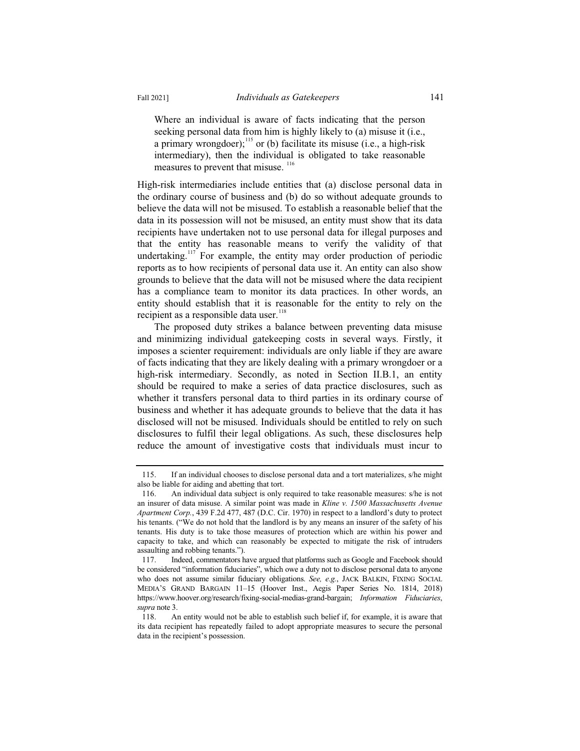Where an individual is aware of facts indicating that the person seeking personal data from him is highly likely to (a) misuse it (i.e., a primary wrongdoer);<sup>115</sup> or (b) facilitate its misuse (i.e., a high-risk intermediary), then the individual is obligated to take reasonable measures to prevent that misuse. <sup>116</sup>

High-risk intermediaries include entities that (a) disclose personal data in the ordinary course of business and (b) do so without adequate grounds to believe the data will not be misused. To establish a reasonable belief that the data in its possession will not be misused, an entity must show that its data recipients have undertaken not to use personal data for illegal purposes and that the entity has reasonable means to verify the validity of that undertaking.<sup>117</sup> For example, the entity may order production of periodic reports as to how recipients of personal data use it. An entity can also show grounds to believe that the data will not be misused where the data recipient has a compliance team to monitor its data practices. In other words, an entity should establish that it is reasonable for the entity to rely on the recipient as a responsible data user.<sup>118</sup>

The proposed duty strikes a balance between preventing data misuse and minimizing individual gatekeeping costs in several ways. Firstly, it imposes a scienter requirement: individuals are only liable if they are aware of facts indicating that they are likely dealing with a primary wrongdoer or a high-risk intermediary. Secondly, as noted in Section II.B.1, an entity should be required to make a series of data practice disclosures, such as whether it transfers personal data to third parties in its ordinary course of business and whether it has adequate grounds to believe that the data it has disclosed will not be misused. Individuals should be entitled to rely on such disclosures to fulfil their legal obligations. As such, these disclosures help reduce the amount of investigative costs that individuals must incur to

<sup>115.</sup> If an individual chooses to disclose personal data and a tort materializes, s/he might also be liable for aiding and abetting that tort.

<sup>116.</sup> An individual data subject is only required to take reasonable measures: s/he is not an insurer of data misuse. A similar point was made in *Kline v. 1500 Massachusetts Avenue Apartment Corp.*, 439 F.2d 477, 487 (D.C. Cir. 1970) in respect to a landlord's duty to protect his tenants. ("We do not hold that the landlord is by any means an insurer of the safety of his tenants. His duty is to take those measures of protection which are within his power and capacity to take, and which can reasonably be expected to mitigate the risk of intruders assaulting and robbing tenants.").

<sup>117.</sup> Indeed, commentators have argued that platforms such as Google and Facebook should be considered "information fiduciaries", which owe a duty not to disclose personal data to anyone who does not assume similar fiduciary obligations. *See, e.g.*, JACK BALKIN, FIXING SOCIAL MEDIA'S GRAND BARGAIN 11–15 (Hoover Inst., Aegis Paper Series No. 1814, 2018) https://www.hoover.org/research/fixing-social-medias-grand-bargain; *Information Fiduciaries*, *supra* note 3.

<sup>118.</sup> An entity would not be able to establish such belief if, for example, it is aware that its data recipient has repeatedly failed to adopt appropriate measures to secure the personal data in the recipient's possession.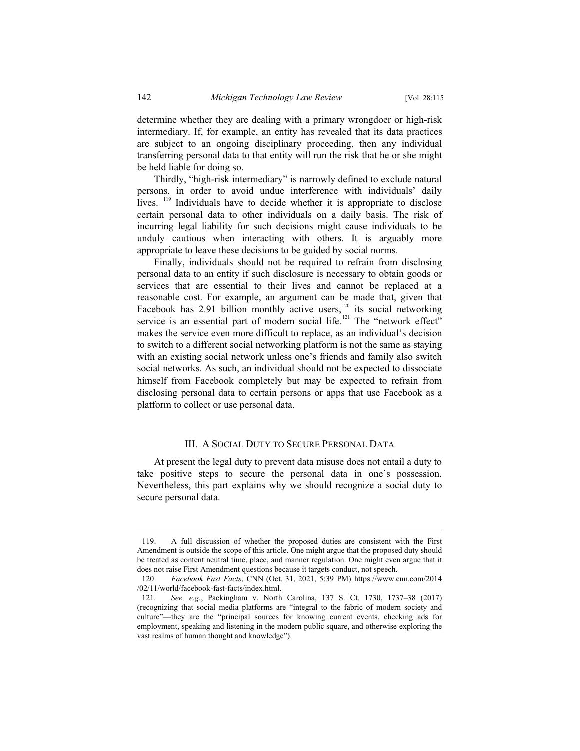determine whether they are dealing with a primary wrongdoer or high-risk intermediary. If, for example, an entity has revealed that its data practices are subject to an ongoing disciplinary proceeding, then any individual transferring personal data to that entity will run the risk that he or she might be held liable for doing so.

Thirdly, "high-risk intermediary" is narrowly defined to exclude natural persons, in order to avoid undue interference with individuals' daily lives. <sup>119</sup> Individuals have to decide whether it is appropriate to disclose certain personal data to other individuals on a daily basis. The risk of incurring legal liability for such decisions might cause individuals to be unduly cautious when interacting with others. It is arguably more appropriate to leave these decisions to be guided by social norms.

Finally, individuals should not be required to refrain from disclosing personal data to an entity if such disclosure is necessary to obtain goods or services that are essential to their lives and cannot be replaced at a reasonable cost. For example, an argument can be made that, given that Facebook has  $2.91$  billion monthly active users,<sup>120</sup> its social networking service is an essential part of modern social life.<sup>121</sup> The "network effect" makes the service even more difficult to replace, as an individual's decision to switch to a different social networking platform is not the same as staying with an existing social network unless one's friends and family also switch social networks. As such, an individual should not be expected to dissociate himself from Facebook completely but may be expected to refrain from disclosing personal data to certain persons or apps that use Facebook as a platform to collect or use personal data.

### III. A SOCIAL DUTY TO SECURE PERSONAL DATA

At present the legal duty to prevent data misuse does not entail a duty to take positive steps to secure the personal data in one's possession. Nevertheless, this part explains why we should recognize a social duty to secure personal data.

<sup>119.</sup> A full discussion of whether the proposed duties are consistent with the First Amendment is outside the scope of this article. One might argue that the proposed duty should be treated as content neutral time, place, and manner regulation. One might even argue that it does not raise First Amendment questions because it targets conduct, not speech.

<sup>120.</sup> *Facebook Fast Facts*, CNN (Oct. 31, 2021, 5:39 PM) https://www.cnn.com/2014 /02/11/world/facebook-fast-facts/index.html.

<sup>121</sup>*. See, e.g.*, Packingham v. North Carolina, 137 S. Ct. 1730, 1737–38 (2017) (recognizing that social media platforms are "integral to the fabric of modern society and culture"—they are the "principal sources for knowing current events, checking ads for employment, speaking and listening in the modern public square, and otherwise exploring the vast realms of human thought and knowledge").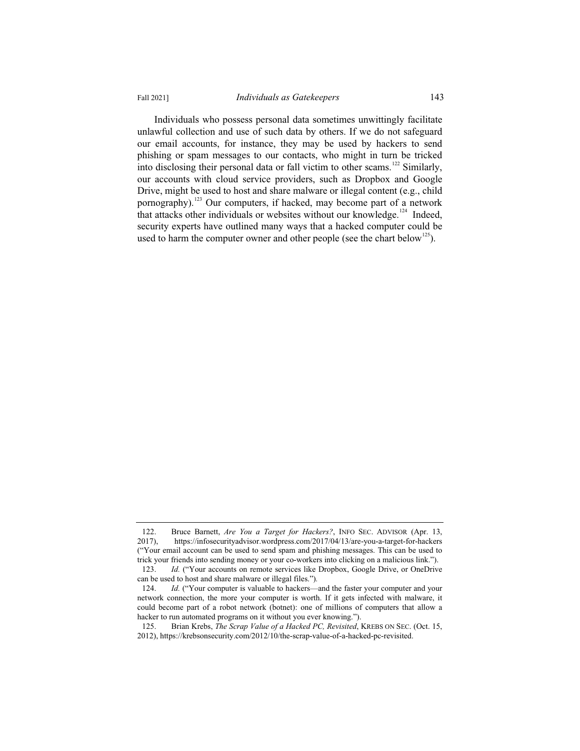Individuals who possess personal data sometimes unwittingly facilitate unlawful collection and use of such data by others. If we do not safeguard our email accounts, for instance, they may be used by hackers to send phishing or spam messages to our contacts, who might in turn be tricked into disclosing their personal data or fall victim to other scams.<sup>122</sup> Similarly, our accounts with cloud service providers, such as Dropbox and Google Drive, might be used to host and share malware or illegal content (e.g., child pornography).<sup>123</sup> Our computers, if hacked, may become part of a network that attacks other individuals or websites without our knowledge.<sup>124</sup> Indeed, security experts have outlined many ways that a hacked computer could be used to harm the computer owner and other people (see the chart below<sup>125</sup>).

<sup>122.</sup> Bruce Barnett, *Are You a Target for Hackers?*, INFO SEC. ADVISOR (Apr. 13, 2017), https://infosecurityadvisor.wordpress.com/2017/04/13/are-you-a-target-for-hackers https://infosecurityadvisor.wordpress.com/2017/04/13/are-you-a-target-for-hackers ("Your email account can be used to send spam and phishing messages. This can be used to trick your friends into sending money or your co-workers into clicking on a malicious link.").

<sup>123.</sup> *Id.* ("Your accounts on remote services like Dropbox, Google Drive, or OneDrive can be used to host and share malware or illegal files.")*.*

<sup>124.</sup> *Id.* ("Your computer is valuable to hackers—and the faster your computer and your network connection, the more your computer is worth. If it gets infected with malware, it could become part of a robot network (botnet): one of millions of computers that allow a hacker to run automated programs on it without you ever knowing.").

<sup>125.</sup> Brian Krebs, *The Scrap Value of a Hacked PC, Revisited*, KREBS ON SEC. (Oct. 15, 2012), https://krebsonsecurity.com/2012/10/the-scrap-value-of-a-hacked-pc-revisited.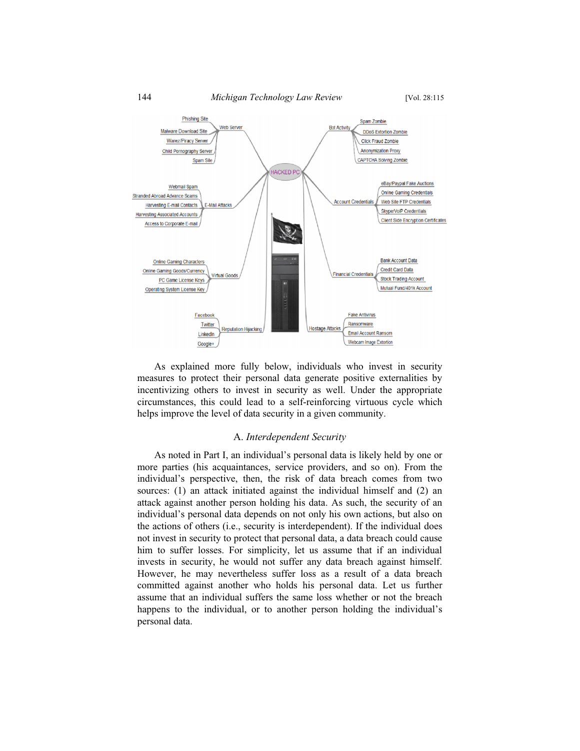

As explained more fully below, individuals who invest in security measures to protect their personal data generate positive externalities by incentivizing others to invest in security as well. Under the appropriate circumstances, this could lead to a self-reinforcing virtuous cycle which helps improve the level of data security in a given community.

#### A. *Interdependent Security*

As noted in Part I, an individual's personal data is likely held by one or more parties (his acquaintances, service providers, and so on). From the individual's perspective, then, the risk of data breach comes from two sources: (1) an attack initiated against the individual himself and (2) an attack against another person holding his data. As such, the security of an individual's personal data depends on not only his own actions, but also on the actions of others (i.e., security is interdependent). If the individual does not invest in security to protect that personal data, a data breach could cause him to suffer losses. For simplicity, let us assume that if an individual invests in security, he would not suffer any data breach against himself. However, he may nevertheless suffer loss as a result of a data breach committed against another who holds his personal data. Let us further assume that an individual suffers the same loss whether or not the breach happens to the individual, or to another person holding the individual's personal data.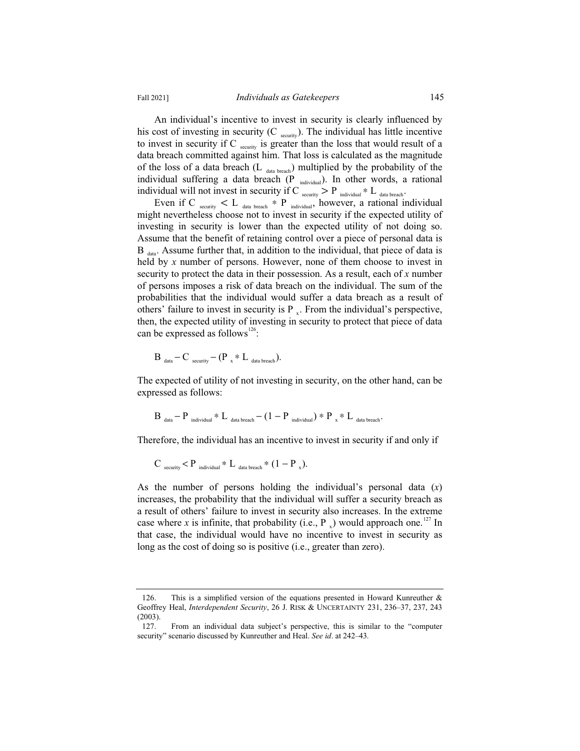An individual's incentive to invest in security is clearly influenced by his cost of investing in security  $(C_{\text{security}})$ . The individual has little incentive to invest in security if C  $_{\text{security}}$  is greater than the loss that would result of a data breach committed against him. That loss is calculated as the magnitude of the loss of a data breach  $(L_{data\ break})$  multiplied by the probability of the individual suffering a data breach (P individual). In other words, a rational individual will not invest in security if C  $_{\text{security}} > P_{\text{individual}} * L_{\text{data breach}}$ .

Even if C security  $\lt L$  data breach \* P individual, however, a rational individual might nevertheless choose not to invest in security if the expected utility of investing in security is lower than the expected utility of not doing so. Assume that the benefit of retaining control over a piece of personal data is  $B_{data}$ . Assume further that, in addition to the individual, that piece of data is held by *x* number of persons. However, none of them choose to invest in security to protect the data in their possession. As a result, each of *x* number of persons imposes a risk of data breach on the individual. The sum of the probabilities that the individual would suffer a data breach as a result of others' failure to invest in security is  $P_{x}$ . From the individual's perspective, then, the expected utility of investing in security to protect that piece of data can be expressed as follows<sup>126</sup>:

$$
B_{data} - C_{security} - (P_{x} * L_{data\,break breach}).
$$

The expected of utility of not investing in security, on the other hand, can be expressed as follows:

$$
B_{\text{data}} - P_{\text{individual}} * L_{\text{data breach}} - (1 - P_{\text{individual}}) * P_{x} * L_{\text{data breach}}.
$$

Therefore, the individual has an incentive to invest in security if and only if

$$
C_{\text{security}} < P_{\text{individual}} * L_{\text{data breach}} * (1 - P_x).
$$

As the number of persons holding the individual's personal data (*x*) increases, the probability that the individual will suffer a security breach as a result of others' failure to invest in security also increases. In the extreme case where *x* is infinite, that probability (i.e., P  $\downarrow$ ) would approach one.<sup>127</sup> In that case, the individual would have no incentive to invest in security as long as the cost of doing so is positive (i.e., greater than zero).

<sup>126.</sup> This is a simplified version of the equations presented in Howard Kunreuther & Geoffrey Heal, *Interdependent Security*, 26 J. RISK & UNCERTAINTY 231, 236–37, 237, 243 (2003).

<sup>127.</sup> From an individual data subject's perspective, this is similar to the "computer security" scenario discussed by Kunreuther and Heal. *See id*. at 242–43*.*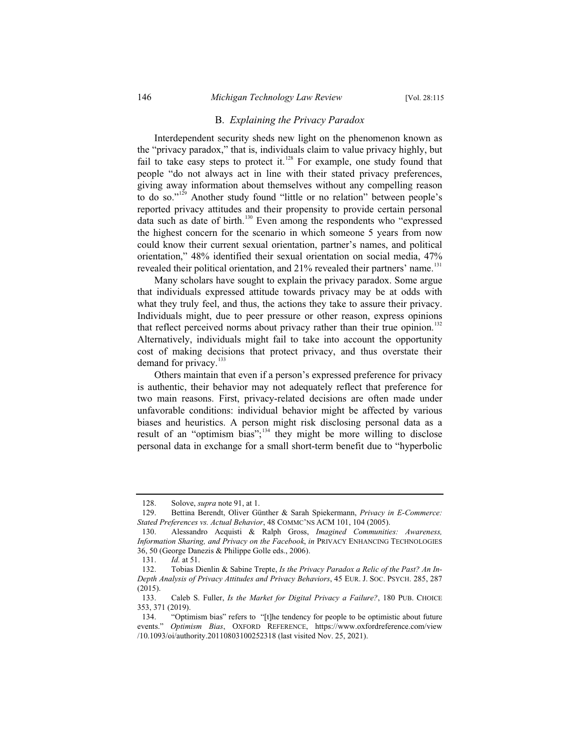# B. *Explaining the Privacy Paradox*

Interdependent security sheds new light on the phenomenon known as the "privacy paradox," that is, individuals claim to value privacy highly, but fail to take easy steps to protect it.<sup>128</sup> For example, one study found that people "do not always act in line with their stated privacy preferences, giving away information about themselves without any compelling reason to do so."<sup>129</sup> Another study found "little or no relation" between people's reported privacy attitudes and their propensity to provide certain personal data such as date of birth.<sup>130</sup> Even among the respondents who "expressed the highest concern for the scenario in which someone 5 years from now could know their current sexual orientation, partner's names, and political orientation," 48% identified their sexual orientation on social media, 47% revealed their political orientation, and  $21\%$  revealed their partners' name.<sup>131</sup>

Many scholars have sought to explain the privacy paradox. Some argue that individuals expressed attitude towards privacy may be at odds with what they truly feel, and thus, the actions they take to assure their privacy. Individuals might, due to peer pressure or other reason, express opinions that reflect perceived norms about privacy rather than their true opinion.<sup>132</sup> Alternatively, individuals might fail to take into account the opportunity cost of making decisions that protect privacy, and thus overstate their demand for privacy.<sup>133</sup>

Others maintain that even if a person's expressed preference for privacy is authentic, their behavior may not adequately reflect that preference for two main reasons. First, privacy-related decisions are often made under unfavorable conditions: individual behavior might be affected by various biases and heuristics. A person might risk disclosing personal data as a result of an "optimism bias";<sup>134</sup> they might be more willing to disclose personal data in exchange for a small short-term benefit due to "hyperbolic

<sup>128.</sup> Solove, *supra* note 91, at 1.

<sup>129.</sup> Bettina Berendt, Oliver Günther & Sarah Spiekermann, *Privacy in E-Commerce: Stated Preferences vs. Actual Behavior*, 48 COMMC'NS ACM 101, 104 (2005).

<sup>130.</sup> Alessandro Acquisti & Ralph Gross, *Imagined Communities: Awareness, Information Sharing, and Privacy on the Facebook*, *in* PRIVACY ENHANCING TECHNOLOGIES 36, 50 (George Danezis & Philippe Golle eds., 2006).

<sup>131.</sup> *Id.* at 51.

<sup>132.</sup> Tobias Dienlin & Sabine Trepte, *Is the Privacy Paradox a Relic of the Past? An In-Depth Analysis of Privacy Attitudes and Privacy Behaviors*, 45 EUR. J. SOC. PSYCH. 285, 287 (2015).

<sup>133.</sup> Caleb S. Fuller, *Is the Market for Digital Privacy a Failure?*, 180 PUB. CHOICE 353, 371 (2019).

<sup>134. &</sup>quot;Optimism bias" refers to "[t]he tendency for people to be optimistic about future events." *Optimism Bias*, OXFORD REFERENCE, https://www.oxfordreference.com/view /10.1093/oi/authority.20110803100252318 (last visited Nov. 25, 2021).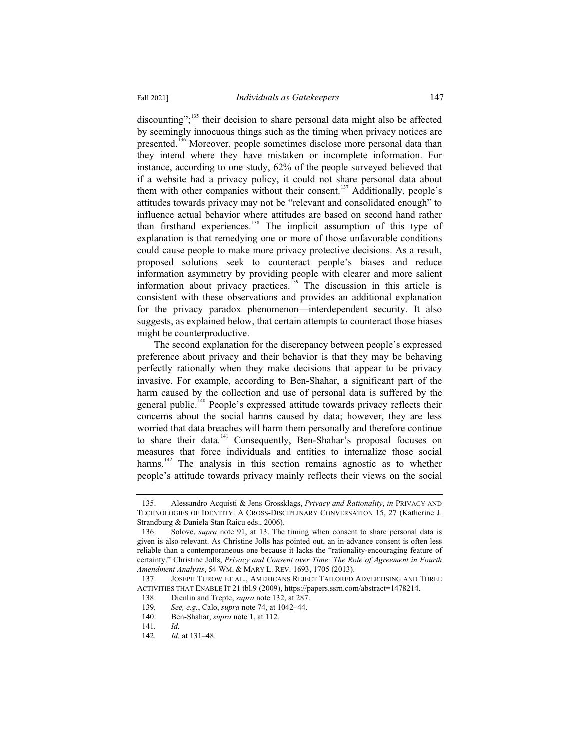discounting"; $^{135}$  their decision to share personal data might also be affected by seemingly innocuous things such as the timing when privacy notices are presented.<sup>136</sup> Moreover, people sometimes disclose more personal data than they intend where they have mistaken or incomplete information. For instance, according to one study, 62% of the people surveyed believed that if a website had a privacy policy, it could not share personal data about them with other companies without their consent.<sup>137</sup> Additionally, people's attitudes towards privacy may not be "relevant and consolidated enough" to influence actual behavior where attitudes are based on second hand rather than firsthand experiences.<sup>138</sup> The implicit assumption of this type of explanation is that remedying one or more of those unfavorable conditions could cause people to make more privacy protective decisions. As a result, proposed solutions seek to counteract people's biases and reduce information asymmetry by providing people with clearer and more salient information about privacy practices.<sup>139</sup> The discussion in this article is consistent with these observations and provides an additional explanation for the privacy paradox phenomenon—interdependent security. It also suggests, as explained below, that certain attempts to counteract those biases might be counterproductive.

The second explanation for the discrepancy between people's expressed preference about privacy and their behavior is that they may be behaving perfectly rationally when they make decisions that appear to be privacy invasive. For example, according to Ben-Shahar, a significant part of the harm caused by the collection and use of personal data is suffered by the general public.<sup>140</sup> People's expressed attitude towards privacy reflects their concerns about the social harms caused by data; however, they are less worried that data breaches will harm them personally and therefore continue to share their data.<sup>141</sup> Consequently, Ben-Shahar's proposal focuses on measures that force individuals and entities to internalize those social harms.<sup>142</sup> The analysis in this section remains agnostic as to whether people's attitude towards privacy mainly reflects their views on the social

<sup>135.</sup> Alessandro Acquisti & Jens Grossklags, *Privacy and Rationality*, *in* PRIVACY AND TECHNOLOGIES OF IDENTITY: A CROSS-DISCIPLINARY CONVERSATION 15, 27 (Katherine J. Strandburg & Daniela Stan Raicu eds., 2006).

<sup>136.</sup> Solove, *supra* note 91, at 13. The timing when consent to share personal data is given is also relevant. As Christine Jolls has pointed out, an in-advance consent is often less reliable than a contemporaneous one because it lacks the "rationality-encouraging feature of certainty." Christine Jolls, *Privacy and Consent over Time: The Role of Agreement in Fourth Amendment Analysis*, 54 WM.&MARY L. REV. 1693, 1705 (2013).

<sup>137.</sup> JOSEPH TUROW ET AL., AMERICANS REJECT TAILORED ADVERTISING AND THREE ACTIVITIES THAT ENABLE IT 21 tbl.9 (2009), https://papers.ssrn.com/abstract=1478214.

<sup>138.</sup> Dienlin and Trepte, *supra* note 132, at 287.

<sup>139</sup>*. See, e.g.*, Calo, *supra* note 74, at 1042–44.

Ben-Shahar, *supra* note 1, at 112.

<sup>141</sup>*. Id.*

<sup>142</sup>*. Id.* at 131–48.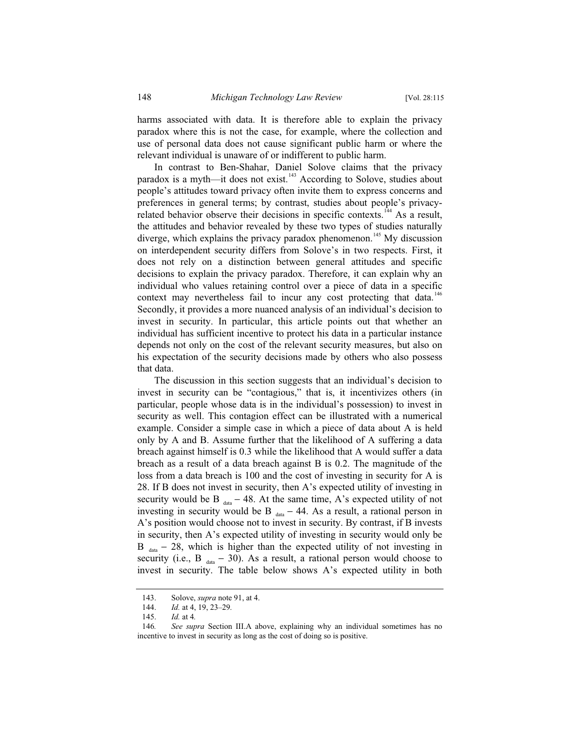harms associated with data. It is therefore able to explain the privacy paradox where this is not the case, for example, where the collection and use of personal data does not cause significant public harm or where the relevant individual is unaware of or indifferent to public harm.

In contrast to Ben-Shahar, Daniel Solove claims that the privacy paradox is a myth—it does not exist. $143$  According to Solove, studies about people's attitudes toward privacy often invite them to express concerns and preferences in general terms; by contrast, studies about people's privacyrelated behavior observe their decisions in specific contexts.<sup>144</sup> As a result, the attitudes and behavior revealed by these two types of studies naturally diverge, which explains the privacy paradox phenomenon.<sup>145</sup> My discussion on interdependent security differs from Solove's in two respects. First, it does not rely on a distinction between general attitudes and specific decisions to explain the privacy paradox. Therefore, it can explain why an individual who values retaining control over a piece of data in a specific context may nevertheless fail to incur any cost protecting that data.<sup>146</sup> Secondly, it provides a more nuanced analysis of an individual's decision to invest in security. In particular, this article points out that whether an individual has sufficient incentive to protect his data in a particular instance depends not only on the cost of the relevant security measures, but also on his expectation of the security decisions made by others who also possess that data.

The discussion in this section suggests that an individual's decision to invest in security can be "contagious," that is, it incentivizes others (in particular, people whose data is in the individual's possession) to invest in security as well. This contagion effect can be illustrated with a numerical example. Consider a simple case in which a piece of data about A is held only by A and B. Assume further that the likelihood of A suffering a data breach against himself is 0.3 while the likelihood that A would suffer a data breach as a result of a data breach against B is 0.2. The magnitude of the loss from a data breach is 100 and the cost of investing in security for A is 28. If B does not invest in security, then A's expected utility of investing in security would be B  $_{data}$  – 48. At the same time, A's expected utility of not investing in security would be B  $_{data}$  – 44. As a result, a rational person in A's position would choose not to invest in security. By contrast, if B invests in security, then A's expected utility of investing in security would only be B  $_{data}$  – 28, which is higher than the expected utility of not investing in security (i.e., B  $_{data}$  – 30). As a result, a rational person would choose to invest in security. The table below shows A's expected utility in both

<sup>143.</sup> Solove, *supra* note 91, at 4.

<sup>144.</sup> *Id.* at 4, 19, 23–29*.*

<sup>145.</sup> *Id.* at 4*.*

<sup>146</sup>*. See supra* Section III.A above, explaining why an individual sometimes has no incentive to invest in security as long as the cost of doing so is positive.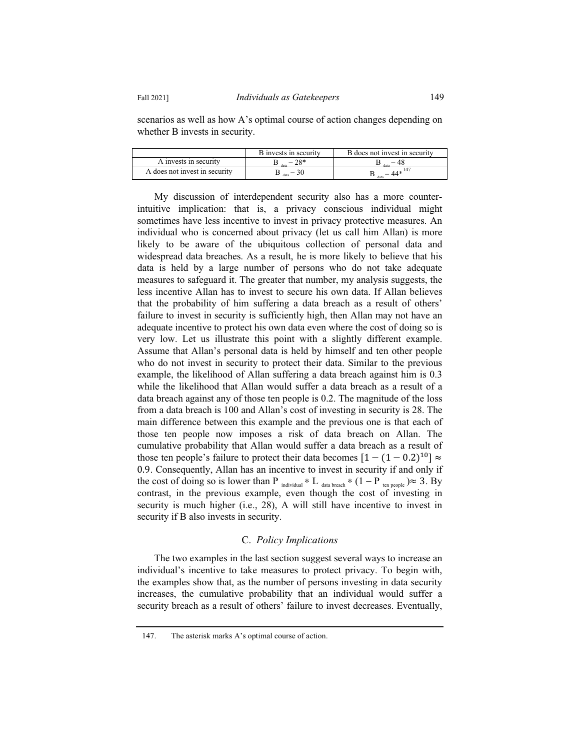scenarios as well as how A's optimal course of action changes depending on whether B invests in security.

|                               | B invests in security | B does not invest in security |
|-------------------------------|-----------------------|-------------------------------|
| A invests in security         | $78*$                 | data                          |
| A does not invest in security |                       |                               |

My discussion of interdependent security also has a more counterintuitive implication: that is, a privacy conscious individual might sometimes have less incentive to invest in privacy protective measures. An individual who is concerned about privacy (let us call him Allan) is more likely to be aware of the ubiquitous collection of personal data and widespread data breaches. As a result, he is more likely to believe that his data is held by a large number of persons who do not take adequate measures to safeguard it. The greater that number, my analysis suggests, the less incentive Allan has to invest to secure his own data. If Allan believes that the probability of him suffering a data breach as a result of others' failure to invest in security is sufficiently high, then Allan may not have an adequate incentive to protect his own data even where the cost of doing so is very low. Let us illustrate this point with a slightly different example. Assume that Allan's personal data is held by himself and ten other people who do not invest in security to protect their data. Similar to the previous example, the likelihood of Allan suffering a data breach against him is 0.3 while the likelihood that Allan would suffer a data breach as a result of a data breach against any of those ten people is 0.2. The magnitude of the loss from a data breach is 100 and Allan's cost of investing in security is 28. The main difference between this example and the previous one is that each of those ten people now imposes a risk of data breach on Allan. The cumulative probability that Allan would suffer a data breach as a result of those ten people's failure to protect their data becomes  $[1 - (1 - 0.2)^{10}] \approx$ 0.9. Consequently, Allan has an incentive to invest in security if and only if the cost of doing so is lower than P  $_{individual} * L_{data\ break} * (1 - P_{t_{en\ people}}) \approx 3. \text{By}$ contrast, in the previous example, even though the cost of investing in security is much higher (i.e., 28), A will still have incentive to invest in security if B also invests in security.

## C. *Policy Implications*

The two examples in the last section suggest several ways to increase an individual's incentive to take measures to protect privacy. To begin with, the examples show that, as the number of persons investing in data security increases, the cumulative probability that an individual would suffer a security breach as a result of others' failure to invest decreases. Eventually,

<sup>147.</sup> The asterisk marks A's optimal course of action.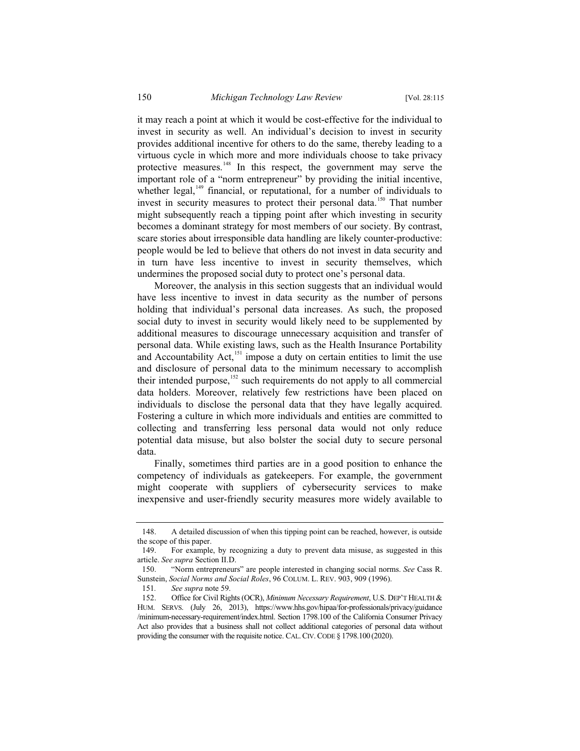it may reach a point at which it would be cost-effective for the individual to invest in security as well. An individual's decision to invest in security provides additional incentive for others to do the same, thereby leading to a virtuous cycle in which more and more individuals choose to take privacy protective measures.<sup>148</sup> In this respect, the government may serve the important role of a "norm entrepreneur" by providing the initial incentive, whether legal, $149$  financial, or reputational, for a number of individuals to invest in security measures to protect their personal data.<sup>150</sup> That number might subsequently reach a tipping point after which investing in security becomes a dominant strategy for most members of our society. By contrast, scare stories about irresponsible data handling are likely counter-productive: people would be led to believe that others do not invest in data security and in turn have less incentive to invest in security themselves, which undermines the proposed social duty to protect one's personal data.

Moreover, the analysis in this section suggests that an individual would have less incentive to invest in data security as the number of persons holding that individual's personal data increases. As such, the proposed social duty to invest in security would likely need to be supplemented by additional measures to discourage unnecessary acquisition and transfer of personal data. While existing laws, such as the Health Insurance Portability and Accountability Act, $151$  impose a duty on certain entities to limit the use and disclosure of personal data to the minimum necessary to accomplish their intended purpose,<sup>152</sup> such requirements do not apply to all commercial data holders. Moreover, relatively few restrictions have been placed on individuals to disclose the personal data that they have legally acquired. Fostering a culture in which more individuals and entities are committed to collecting and transferring less personal data would not only reduce potential data misuse, but also bolster the social duty to secure personal data.

Finally, sometimes third parties are in a good position to enhance the competency of individuals as gatekeepers. For example, the government might cooperate with suppliers of cybersecurity services to make inexpensive and user-friendly security measures more widely available to

<sup>148.</sup> A detailed discussion of when this tipping point can be reached, however, is outside the scope of this paper.

<sup>149.</sup> For example, by recognizing a duty to prevent data misuse, as suggested in this article. *See supra* Section II.D.

<sup>150. &</sup>quot;Norm entrepreneurs" are people interested in changing social norms. *See* Cass R. Sunstein, *Social Norms and Social Roles*, 96 COLUM. L. REV. 903, 909 (1996).

<sup>151</sup>*. See supra* note 59.

<sup>152.</sup> Office for Civil Rights (OCR), *Minimum Necessary Requirement*, U.S. DEP'T HEALTH & HUM. SERVS. (July 26, 2013), https://www.hhs.gov/hipaa/for-professionals/privacy/guidance /minimum-necessary-requirement/index.html. Section 1798.100 of the California Consumer Privacy Act also provides that a business shall not collect additional categories of personal data without providing the consumer with the requisite notice. CAL. CIV. CODE § 1798.100 (2020).